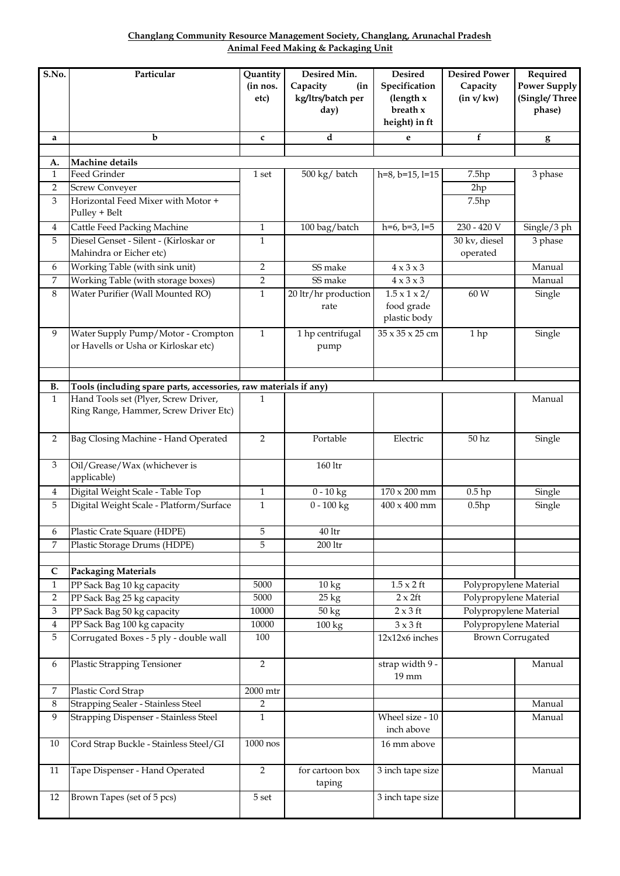**Changlang Community Resource Management Society, Changlang, Arunachal Pradesh Animal Feed Making & Packaging Unit**

| S.No.                     | Particular                                                        | Quantity       | Desired Min.                 | <b>Desired</b>                | <b>Desired Power</b>      | Required            |
|---------------------------|-------------------------------------------------------------------|----------------|------------------------------|-------------------------------|---------------------------|---------------------|
|                           |                                                                   | (in nos.       | Capacity<br>(in              | Specification                 | Capacity                  | <b>Power Supply</b> |
|                           |                                                                   | etc)           | kg/ltrs/batch per            | (length x                     | (in v/kw)                 | (Single/Three       |
|                           |                                                                   |                | day)                         | breath x                      |                           | phase)              |
|                           |                                                                   |                |                              | height) in ft                 |                           |                     |
| a                         | $\mathbf b$                                                       | $\mathbf c$    | d                            | e                             | f                         | g                   |
| A.                        | Machine details                                                   |                |                              |                               |                           |                     |
| $\mathbf{1}$              | Feed Grinder                                                      | 1 set          | 500 kg/ batch                | $h=8$ , $b=15$ , $l=15$       | 7.5hp                     | 3 phase             |
| 2                         | <b>Screw Conveyer</b>                                             |                |                              |                               | 2hp                       |                     |
| 3                         | Horizontal Feed Mixer with Motor +                                |                |                              |                               | 7.5hp                     |                     |
|                           | Pulley + Belt                                                     |                |                              |                               |                           |                     |
| $\overline{4}$            | Cattle Feed Packing Machine                                       | $\mathbf{1}$   | 100 bag/batch                | $h=6$ , $b=3$ , $l=5$         | 230 - 420 V               | Single/3 ph         |
| 5                         | Diesel Genset - Silent - (Kirloskar or<br>Mahindra or Eicher etc) | 1              |                              |                               | 30 kv, diesel<br>operated | 3 phase             |
| 6                         | Working Table (with sink unit)                                    | 2              | SS make                      | $4 \times 3 \times 3$         |                           | Manual              |
| 7                         | Working Table (with storage boxes)                                | 2              | SS make                      | $4 \times 3 \times 3$         |                           | Manual              |
| 8                         | Water Purifier (Wall Mounted RO)                                  | 1              |                              | $1.5 \times 1 \times 2/$      | 60 W                      |                     |
|                           |                                                                   |                | 20 ltr/hr production<br>rate | food grade                    |                           | Single              |
|                           |                                                                   |                |                              | plastic body                  |                           |                     |
| 9                         | Water Supply Pump/Motor - Crompton                                | $\mathbf{1}$   | 1 hp centrifugal             | 35 x 35 x 25 cm               | 1hp                       | Single              |
|                           | or Havells or Usha or Kirloskar etc)                              |                | pump                         |                               |                           |                     |
|                           |                                                                   |                |                              |                               |                           |                     |
|                           |                                                                   |                |                              |                               |                           |                     |
| <b>B.</b>                 | Tools (including spare parts, accessories, raw materials if any)  |                |                              |                               |                           |                     |
| $\mathbf{1}$              | Hand Tools set (Plyer, Screw Driver,                              | 1              |                              |                               |                           | Manual              |
|                           | Ring Range, Hammer, Screw Driver Etc)                             |                |                              |                               |                           |                     |
|                           |                                                                   |                |                              |                               |                           |                     |
| $\sqrt{2}$                | Bag Closing Machine - Hand Operated                               | $\overline{2}$ | Portable                     | Electric                      | 50 <sub>hz</sub>          | Single              |
|                           |                                                                   |                |                              |                               |                           |                     |
| 3                         | Oil/Grease/Wax (whichever is                                      |                | 160 ltr                      |                               |                           |                     |
|                           | applicable)                                                       |                |                              |                               |                           |                     |
| 4                         | Digital Weight Scale - Table Top                                  | $\mathbf{1}$   | $0 - 10$ kg                  | $170\times200$ mm             | $0.5$ hp                  | Single              |
| 5                         | Digital Weight Scale - Platform/Surface                           | $\mathbf{1}$   | $0 - 100$ kg                 | $400 \times 400$ mm           | 0.5hp                     | Single              |
|                           |                                                                   |                |                              |                               |                           |                     |
| 6<br>7                    | Plastic Crate Square (HDPE)                                       | 5<br>5         | 40 ltr                       |                               |                           |                     |
|                           | Plastic Storage Drums (HDPE)                                      |                | $200$ ltr                    |                               |                           |                     |
| C                         | <b>Packaging Materials</b>                                        |                |                              |                               |                           |                     |
| $\mathbf{1}$              | PP Sack Bag 10 kg capacity                                        | 5000           | 10 kg                        | $1.5 \times 2$ ft             | Polypropylene Material    |                     |
| $\overline{2}$            | PP Sack Bag 25 kg capacity                                        | 5000           | $25 \text{ kg}$              | $2 \times 2$ ft               | Polypropylene Material    |                     |
| $\boldsymbol{\mathrm{3}}$ | PP Sack Bag 50 kg capacity                                        | 10000          | 50 kg                        | $2 \times 3$ ft               | Polypropylene Material    |                     |
| $\boldsymbol{4}$          | PP Sack Bag 100 kg capacity                                       | 10000          | 100 kg                       | $3 \times 3$ ft               | Polypropylene Material    |                     |
| 5                         | Corrugated Boxes - 5 ply - double wall                            | 100            |                              | 12x12x6 inches                | <b>Brown Corrugated</b>   |                     |
|                           |                                                                   |                |                              |                               |                           |                     |
| 6                         | <b>Plastic Strapping Tensioner</b>                                | $\overline{2}$ |                              | strap width 9 -               |                           | Manual              |
|                           |                                                                   |                |                              | 19 mm                         |                           |                     |
| 7                         | Plastic Cord Strap                                                | 2000 mtr       |                              |                               |                           |                     |
| 8                         | Strapping Sealer - Stainless Steel                                | 2              |                              |                               |                           | Manual              |
| 9                         | Strapping Dispenser - Stainless Steel                             | $\mathbf{1}$   |                              | Wheel size - 10<br>inch above |                           | Manual              |
| 10                        | Cord Strap Buckle - Stainless Steel/GI                            | 1000 nos       |                              | 16 mm above                   |                           |                     |
|                           |                                                                   |                |                              |                               |                           |                     |
| 11                        | Tape Dispenser - Hand Operated                                    | $\overline{2}$ | for cartoon box              | 3 inch tape size              |                           | Manual              |
|                           |                                                                   |                | taping                       |                               |                           |                     |
| 12                        | Brown Tapes (set of 5 pcs)                                        | 5 set          |                              | 3 inch tape size              |                           |                     |
|                           |                                                                   |                |                              |                               |                           |                     |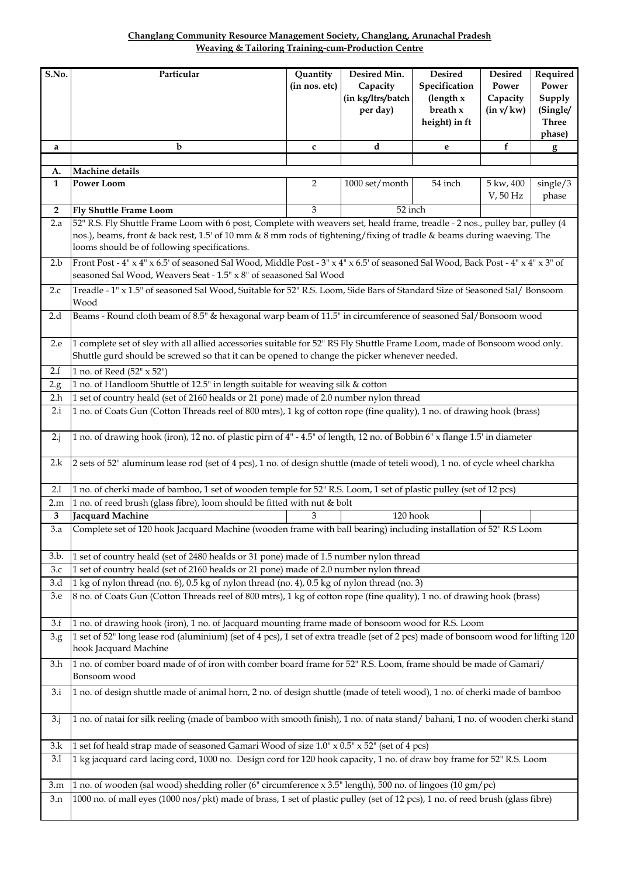| <b>Changlang Community Resource Management Society, Changlang, Arunachal Pradesh</b> |                                                    |  |  |
|--------------------------------------------------------------------------------------|----------------------------------------------------|--|--|
|                                                                                      | Weaving & Tailoring Training-cum-Production Centre |  |  |

| S.No.              | Particular                                                                                                                                                                                                                                                                                            | Quantity<br>(in nos. etc) | Desired Min.<br>Capacity<br>(in kg/ltrs/batch<br>per day) | Desired<br>Specification<br>(length x<br>breath x<br>height) in ft | <b>Desired</b><br>Power<br>Capacity<br>(in v/kw) | Required<br>Power<br>Supply<br>(Single/<br><b>Three</b><br>phase) |  |  |  |
|--------------------|-------------------------------------------------------------------------------------------------------------------------------------------------------------------------------------------------------------------------------------------------------------------------------------------------------|---------------------------|-----------------------------------------------------------|--------------------------------------------------------------------|--------------------------------------------------|-------------------------------------------------------------------|--|--|--|
| a                  | b                                                                                                                                                                                                                                                                                                     | c                         | d                                                         | e                                                                  | f                                                | g                                                                 |  |  |  |
|                    |                                                                                                                                                                                                                                                                                                       |                           |                                                           |                                                                    |                                                  |                                                                   |  |  |  |
| A.<br>$\mathbf{1}$ | Machine details<br><b>Power Loom</b>                                                                                                                                                                                                                                                                  | 2                         | 1000 set/month                                            | 54 inch                                                            | 5 kw, 400                                        | single/3                                                          |  |  |  |
|                    |                                                                                                                                                                                                                                                                                                       |                           |                                                           |                                                                    | V, 50 Hz                                         | phase                                                             |  |  |  |
| $\overline{2}$     | <b>Fly Shuttle Frame Loom</b>                                                                                                                                                                                                                                                                         | 3                         | 52 inch                                                   |                                                                    |                                                  |                                                                   |  |  |  |
| 2.a                | 52" R.S. Fly Shuttle Frame Loom with 6 post, Complete with weavers set, heald frame, treadle - 2 nos., pulley bar, pulley (4<br>nos.), beams, front & back rest, 1.5' of 10 mm & 8 mm rods of tightening/fixing of tradle & beams during waeving. The<br>looms should be of following specifications. |                           |                                                           |                                                                    |                                                  |                                                                   |  |  |  |
| 2.b                | Front Post - 4" x 4" x 6.5' of seasoned Sal Wood, Middle Post - 3" x 4" x 6.5' of seasoned Sal Wood, Back Post - 4" x 4" x 3" of<br>seasoned Sal Wood, Weavers Seat - 1.5" x 8" of seaasoned Sal Wood                                                                                                 |                           |                                                           |                                                                    |                                                  |                                                                   |  |  |  |
| 2.c                | Treadle - 1" x 1.5" of seasoned Sal Wood, Suitable for 52" R.S. Loom, Side Bars of Standard Size of Seasoned Sal/ Bonsoom<br>Wood                                                                                                                                                                     |                           |                                                           |                                                                    |                                                  |                                                                   |  |  |  |
| 2.d                | Beams - Round cloth beam of 8.5" & hexagonal warp beam of 11.5" in circumference of seasoned Sal/Bonsoom wood                                                                                                                                                                                         |                           |                                                           |                                                                    |                                                  |                                                                   |  |  |  |
| 2.e                | 1 complete set of sley with all allied accessories suitable for 52" RS Fly Shuttle Frame Loom, made of Bonsoom wood only.<br>Shuttle gurd should be screwed so that it can be opened to change the picker whenever needed.                                                                            |                           |                                                           |                                                                    |                                                  |                                                                   |  |  |  |
| 2.f                | 1 no. of Reed (52" x 52")                                                                                                                                                                                                                                                                             |                           |                                                           |                                                                    |                                                  |                                                                   |  |  |  |
| 2.g.               | 1 no. of Handloom Shuttle of 12.5" in length suitable for weaving silk & cotton                                                                                                                                                                                                                       |                           |                                                           |                                                                    |                                                  |                                                                   |  |  |  |
| 2.h                | 1 set of country heald (set of 2160 healds or 21 pone) made of 2.0 number nylon thread                                                                                                                                                                                                                |                           |                                                           |                                                                    |                                                  |                                                                   |  |  |  |
| 2.i                | 1 no. of Coats Gun (Cotton Threads reel of 800 mtrs), 1 kg of cotton rope (fine quality), 1 no. of drawing hook (brass)                                                                                                                                                                               |                           |                                                           |                                                                    |                                                  |                                                                   |  |  |  |
| $2 \cdot j$        | 1 no. of drawing hook (iron), 12 no. of plastic pirn of 4" - 4.5" of length, 12 no. of Bobbin 6" x flange 1.5" in diameter                                                                                                                                                                            |                           |                                                           |                                                                    |                                                  |                                                                   |  |  |  |
| 2.k                | 2 sets of 52" aluminum lease rod (set of 4 pcs), 1 no. of design shuttle (made of teteli wood), 1 no. of cycle wheel charkha                                                                                                                                                                          |                           |                                                           |                                                                    |                                                  |                                                                   |  |  |  |
| 2.1                | 1 no. of cherki made of bamboo, 1 set of wooden temple for 52" R.S. Loom, 1 set of plastic pulley (set of 12 pcs)                                                                                                                                                                                     |                           |                                                           |                                                                    |                                                  |                                                                   |  |  |  |
| 2.m                | 1 no. of reed brush (glass fibre), loom should be fitted with nut & bolt                                                                                                                                                                                                                              |                           |                                                           |                                                                    |                                                  |                                                                   |  |  |  |
| 3                  | Jacquard Machine                                                                                                                                                                                                                                                                                      | 3                         | 120 hook                                                  |                                                                    |                                                  |                                                                   |  |  |  |
| 3.a                | Complete set of 120 hook Jacquard Machine (wooden frame with ball bearing) including installation of 52" R.S Loom                                                                                                                                                                                     |                           |                                                           |                                                                    |                                                  |                                                                   |  |  |  |
| 3.b.               | 1 set of country heald (set of 2480 healds or 31 pone) made of 1.5 number nylon thread                                                                                                                                                                                                                |                           |                                                           |                                                                    |                                                  |                                                                   |  |  |  |
| 3.c                | 1 set of country heald (set of 2160 healds or 21 pone) made of 2.0 number nylon thread                                                                                                                                                                                                                |                           |                                                           |                                                                    |                                                  |                                                                   |  |  |  |
| 3.d                | 1 kg of nylon thread (no. 6), 0.5 kg of nylon thread (no. 4), 0.5 kg of nylon thread (no. 3)                                                                                                                                                                                                          |                           |                                                           |                                                                    |                                                  |                                                                   |  |  |  |
| 3.e                | 8 no. of Coats Gun (Cotton Threads reel of 800 mtrs), 1 kg of cotton rope (fine quality), 1 no. of drawing hook (brass)                                                                                                                                                                               |                           |                                                           |                                                                    |                                                  |                                                                   |  |  |  |
| 3.f                | 1 no. of drawing hook (iron), 1 no. of Jacquard mounting frame made of bonsoom wood for R.S. Loom                                                                                                                                                                                                     |                           |                                                           |                                                                    |                                                  |                                                                   |  |  |  |
| 3.g                | 1 set of 52" long lease rod (aluminium) (set of 4 pcs), 1 set of extra treadle (set of 2 pcs) made of bonsoom wood for lifting 120<br>hook Jacquard Machine                                                                                                                                           |                           |                                                           |                                                                    |                                                  |                                                                   |  |  |  |
| 3.h                | 1 no. of comber board made of of iron with comber board frame for 52" R.S. Loom, frame should be made of Gamari/<br>Bonsoom wood                                                                                                                                                                      |                           |                                                           |                                                                    |                                                  |                                                                   |  |  |  |
| 3.i                | 1 no. of design shuttle made of animal horn, 2 no. of design shuttle (made of teteli wood), 1 no. of cherki made of bamboo                                                                                                                                                                            |                           |                                                           |                                                                    |                                                  |                                                                   |  |  |  |
| $3-j$              | 1 no. of natai for silk reeling (made of bamboo with smooth finish), 1 no. of nata stand/ bahani, 1 no. of wooden cherki stand                                                                                                                                                                        |                           |                                                           |                                                                    |                                                  |                                                                   |  |  |  |
| 3.k                | 1 set fof heald strap made of seasoned Gamari Wood of size 1.0" x 0.5" x 52" (set of 4 pcs)                                                                                                                                                                                                           |                           |                                                           |                                                                    |                                                  |                                                                   |  |  |  |
| 3.1                | 1 kg jacquard card lacing cord, 1000 no. Design cord for 120 hook capacity, 1 no. of draw boy frame for 52" R.S. Loom                                                                                                                                                                                 |                           |                                                           |                                                                    |                                                  |                                                                   |  |  |  |
| 3.m                | 1 no. of wooden (sal wood) shedding roller (6" circumference x 3.5" length), 500 no. of lingoes (10 gm/pc)                                                                                                                                                                                            |                           |                                                           |                                                                    |                                                  |                                                                   |  |  |  |
| 3.n                | 1000 no. of mall eyes (1000 nos/pkt) made of brass, 1 set of plastic pulley (set of 12 pcs), 1 no. of reed brush (glass fibre)                                                                                                                                                                        |                           |                                                           |                                                                    |                                                  |                                                                   |  |  |  |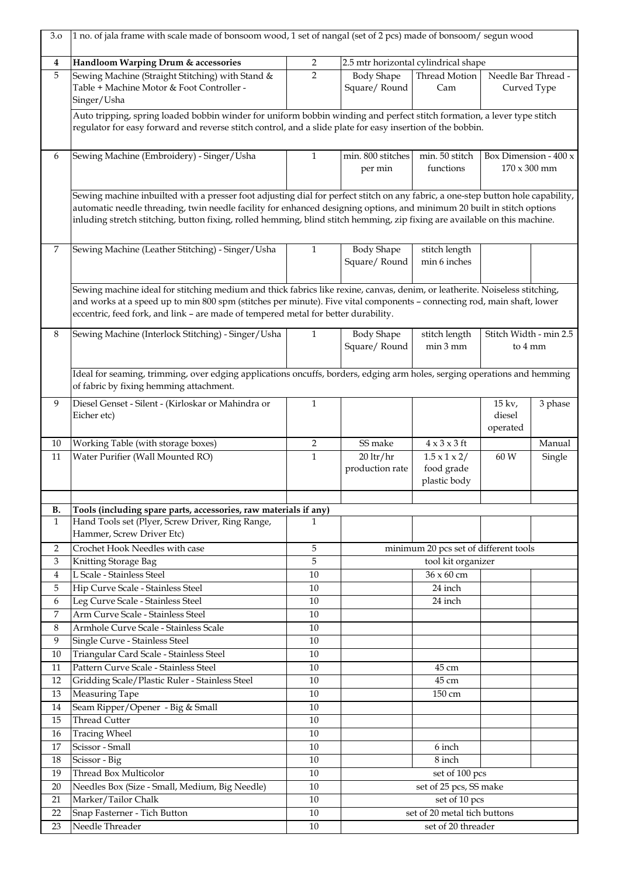| 3.0              | 1 no. of jala frame with scale made of bonsoom wood, 1 set of nangal (set of 2 pcs) made of bonsoom/ segun wood                                                                                                                                                                                                                                                                           |                |                                           |                                                                                    |                                              |                  |  |
|------------------|-------------------------------------------------------------------------------------------------------------------------------------------------------------------------------------------------------------------------------------------------------------------------------------------------------------------------------------------------------------------------------------------|----------------|-------------------------------------------|------------------------------------------------------------------------------------|----------------------------------------------|------------------|--|
| $\boldsymbol{4}$ | Handloom Warping Drum & accessories                                                                                                                                                                                                                                                                                                                                                       | $\overline{2}$ |                                           | 2.5 mtr horizontal cylindrical shape                                               |                                              |                  |  |
| 5                | Sewing Machine (Straight Stitching) with Stand &<br>Table + Machine Motor & Foot Controller -<br>Singer/Usha                                                                                                                                                                                                                                                                              | $\overline{2}$ | <b>Body Shape</b><br>Square/Round         | Thread Motion<br>Cam                                                               | Needle Bar Thread -                          | Curved Type      |  |
|                  | Auto tripping, spring loaded bobbin winder for uniform bobbin winding and perfect stitch formation, a lever type stitch<br>regulator for easy forward and reverse stitch control, and a slide plate for easy insertion of the bobbin.                                                                                                                                                     |                |                                           |                                                                                    |                                              |                  |  |
| 6                | Sewing Machine (Embroidery) - Singer/Usha                                                                                                                                                                                                                                                                                                                                                 | $\mathbf{1}$   | min. 800 stitches<br>per min              | min. 50 stitch<br>functions                                                        | Box Dimension - 400 x<br>$170 \times 300$ mm |                  |  |
|                  | Sewing machine inbuilted with a presser foot adjusting dial for perfect stitch on any fabric, a one-step button hole capability,<br>automatic needle threading, twin needle facility for enhanced designing options, and minimum 20 built in stitch options<br>inluding stretch stitching, button fixing, rolled hemming, blind stitch hemming, zip fixing are available on this machine. |                |                                           |                                                                                    |                                              |                  |  |
| 7                | Sewing Machine (Leather Stitching) - Singer/Usha                                                                                                                                                                                                                                                                                                                                          | $\mathbf{1}$   | <b>Body Shape</b><br>Square/Round         | stitch length<br>min 6 inches                                                      |                                              |                  |  |
|                  | Sewing machine ideal for stitching medium and thick fabrics like rexine, canvas, denim, or leatherite. Noiseless stitching,<br>and works at a speed up to min 800 spm (stitches per minute). Five vital components - connecting rod, main shaft, lower<br>eccentric, feed fork, and link - are made of tempered metal for better durability.                                              |                |                                           |                                                                                    |                                              |                  |  |
| 8                | Sewing Machine (Interlock Stitching) - Singer/Usha                                                                                                                                                                                                                                                                                                                                        | 1              | <b>Body Shape</b><br>Square/Round         | stitch length<br>min 3 mm                                                          | Stitch Width - min 2.5                       | to 4 mm          |  |
|                  | Ideal for seaming, trimming, over edging applications oncuffs, borders, edging arm holes, serging operations and hemming<br>of fabric by fixing hemming attachment.                                                                                                                                                                                                                       |                |                                           |                                                                                    |                                              |                  |  |
| 9                | Diesel Genset - Silent - (Kirloskar or Mahindra or<br>Eicher etc)                                                                                                                                                                                                                                                                                                                         | $\mathbf{1}$   |                                           |                                                                                    | $15 \text{ kv.}$<br>diesel<br>operated       | 3 phase          |  |
| 10<br>11         | Working Table (with storage boxes)<br>Water Purifier (Wall Mounted RO)                                                                                                                                                                                                                                                                                                                    | 2<br>1         | SS make<br>$20$ ltr/hr<br>production rate | $4 \times 3 \times 3$ ft<br>$1.5 \times 1 \times 2/$<br>food grade<br>plastic body | 60 W                                         | Manual<br>Single |  |
| В.               | Tools (including spare parts, accessories, raw materials if any)                                                                                                                                                                                                                                                                                                                          |                |                                           |                                                                                    |                                              |                  |  |
| $\mathbf{1}$     | Hand Tools set (Plyer, Screw Driver, Ring Range,<br>Hammer, Screw Driver Etc)                                                                                                                                                                                                                                                                                                             | 1              |                                           |                                                                                    |                                              |                  |  |
| $\overline{2}$   | Crochet Hook Needles with case                                                                                                                                                                                                                                                                                                                                                            | 5              |                                           | minimum 20 pcs set of different tools                                              |                                              |                  |  |
| 3                | Knitting Storage Bag                                                                                                                                                                                                                                                                                                                                                                      | 5              |                                           | tool kit organizer                                                                 |                                              |                  |  |
| $\overline{4}$   | L Scale - Stainless Steel                                                                                                                                                                                                                                                                                                                                                                 | 10             |                                           | 36 x 60 cm                                                                         |                                              |                  |  |
| 5                | Hip Curve Scale - Stainless Steel                                                                                                                                                                                                                                                                                                                                                         | 10             |                                           | 24 inch                                                                            |                                              |                  |  |
| 6                | Leg Curve Scale - Stainless Steel                                                                                                                                                                                                                                                                                                                                                         | 10             |                                           | 24 inch                                                                            |                                              |                  |  |
| 7<br>8           | Arm Curve Scale - Stainless Steel<br>Armhole Curve Scale - Stainless Scale                                                                                                                                                                                                                                                                                                                | 10<br>10       |                                           |                                                                                    |                                              |                  |  |
| 9                | Single Curve - Stainless Steel                                                                                                                                                                                                                                                                                                                                                            | 10             |                                           |                                                                                    |                                              |                  |  |
| 10               | Triangular Card Scale - Stainless Steel                                                                                                                                                                                                                                                                                                                                                   | 10             |                                           |                                                                                    |                                              |                  |  |
| 11               | Pattern Curve Scale - Stainless Steel                                                                                                                                                                                                                                                                                                                                                     | 10             |                                           | 45 cm                                                                              |                                              |                  |  |
| 12               | Gridding Scale/Plastic Ruler - Stainless Steel                                                                                                                                                                                                                                                                                                                                            | 10             |                                           | 45 cm                                                                              |                                              |                  |  |
| 13               | Measuring Tape                                                                                                                                                                                                                                                                                                                                                                            | 10             |                                           | 150 cm                                                                             |                                              |                  |  |
| 14               | Seam Ripper/Opener - Big & Small                                                                                                                                                                                                                                                                                                                                                          | 10             |                                           |                                                                                    |                                              |                  |  |
| 15               | <b>Thread Cutter</b>                                                                                                                                                                                                                                                                                                                                                                      | 10             |                                           |                                                                                    |                                              |                  |  |
| 16               | Tracing Wheel                                                                                                                                                                                                                                                                                                                                                                             | 10             |                                           |                                                                                    |                                              |                  |  |
| 17               | Scissor - Small                                                                                                                                                                                                                                                                                                                                                                           | 10             |                                           | 6 inch                                                                             |                                              |                  |  |
| 18               | Scissor - Big                                                                                                                                                                                                                                                                                                                                                                             | 10             |                                           | 8 inch                                                                             |                                              |                  |  |
| 19               | Thread Box Multicolor                                                                                                                                                                                                                                                                                                                                                                     | 10             |                                           | set of 100 pcs                                                                     |                                              |                  |  |
| 20               | Needles Box (Size - Small, Medium, Big Needle)                                                                                                                                                                                                                                                                                                                                            | $10\,$         |                                           | set of 25 pcs, SS make                                                             |                                              |                  |  |
| 21<br>22         | Marker/Tailor Chalk<br>Snap Fasterner - Tich Button                                                                                                                                                                                                                                                                                                                                       | 10<br>10       |                                           | set of 10 pcs<br>set of 20 metal tich buttons                                      |                                              |                  |  |
| 23               | Needle Threader                                                                                                                                                                                                                                                                                                                                                                           | 10             |                                           | set of 20 threader                                                                 |                                              |                  |  |
|                  |                                                                                                                                                                                                                                                                                                                                                                                           |                |                                           |                                                                                    |                                              |                  |  |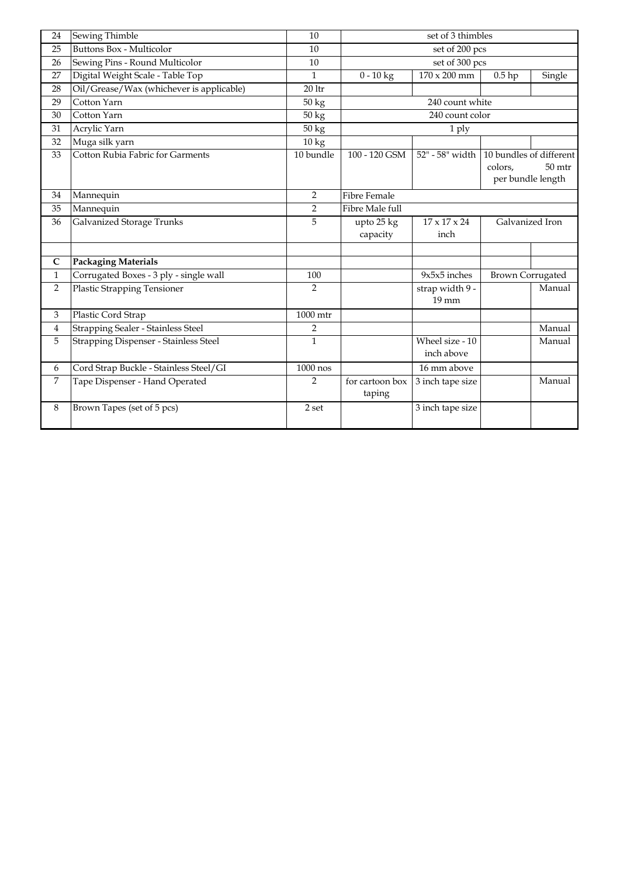| 24             | Sewing Thimble                           | 10                 |                           | set of 3 thimbles                  |                                                         |        |
|----------------|------------------------------------------|--------------------|---------------------------|------------------------------------|---------------------------------------------------------|--------|
| 25             | <b>Buttons Box - Multicolor</b>          | 10                 |                           | set of 200 pcs                     |                                                         |        |
| 26             | Sewing Pins - Round Multicolor           | 10                 |                           | set of 300 pcs                     |                                                         |        |
| 27             | Digital Weight Scale - Table Top         | $\mathbf{1}$       | $\frac{1}{0-10}$ kg       | $170 \times 200$ mm                | $0.5$ hp                                                | Single |
| 28             | Oil/Grease/Wax (whichever is applicable) | $201$ tr           |                           |                                    |                                                         |        |
| 29             | Cotton Yarn                              | $\overline{50}$ kg |                           | 240 count white                    |                                                         |        |
| 30             | Cotton Yarn                              | $50 \text{ kg}$    |                           | 240 count color                    |                                                         |        |
| 31             | Acrylic Yarn                             | 50 kg              |                           | 1 ply                              |                                                         |        |
| 32             | Muga silk yarn                           | 10 kg              |                           |                                    |                                                         |        |
| 33             | Cotton Rubia Fabric for Garments         | 10 bundle          | 100 - 120 GSM             | 52" - 58" width                    | 10 bundles of different<br>colors,<br>per bundle length | 50 mtr |
| 34             | Mannequin                                | $\overline{2}$     | <b>Fibre Female</b>       |                                    |                                                         |        |
| 35             | Mannequin                                | $\overline{2}$     | Fibre Male full           |                                    |                                                         |        |
| 36             | Galvanized Storage Trunks                | 5                  | upto 25 kg<br>capacity    | $17 \times 17 \times 24$<br>inch   | Galvanized Iron                                         |        |
| C              | <b>Packaging Materials</b>               |                    |                           |                                    |                                                         |        |
| $\mathbf{1}$   | Corrugated Boxes - 3 ply - single wall   | 100                |                           | $9x5x5$ inches                     | <b>Brown Corrugated</b>                                 |        |
| $\overline{2}$ | <b>Plastic Strapping Tensioner</b>       | 2                  |                           | strap width 9 -<br>$19 \text{ mm}$ |                                                         | Manual |
| 3              | Plastic Cord Strap                       | 1000 mtr           |                           |                                    |                                                         |        |
| $\overline{4}$ | Strapping Sealer - Stainless Steel       | $\overline{2}$     |                           |                                    |                                                         | Manual |
| 5              | Strapping Dispenser - Stainless Steel    | $\mathbf{1}$       |                           | Wheel size - 10<br>inch above      |                                                         | Manual |
| 6              | Cord Strap Buckle - Stainless Steel/GI   | 1000 nos           |                           | 16 mm above                        |                                                         |        |
| 7              | Tape Dispenser - Hand Operated           | $\overline{2}$     | for cartoon box<br>taping | 3 inch tape size                   |                                                         | Manual |
| 8              | Brown Tapes (set of 5 pcs)               | $2\,\mathrm{set}$  |                           | 3 inch tape size                   |                                                         |        |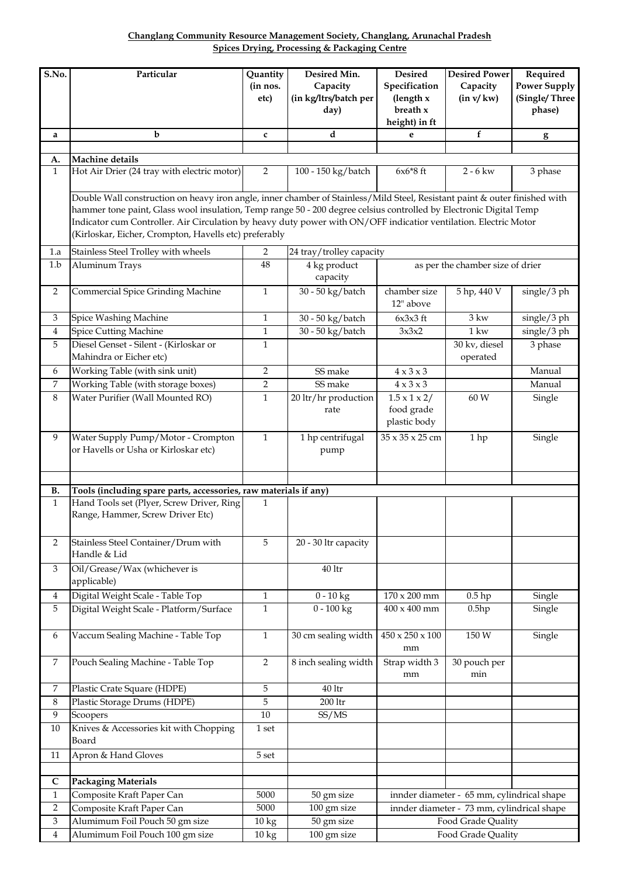## **Changlang Community Resource Management Society, Changlang, Arunachal Pradesh Spices Drying, Processing & Packaging Centre**

| S.No.          | Particular                                                                                                                                                                                                                                                                                                                                                                                                                    | Quantity         | Desired Min.                     | <b>Desired</b>                                         | <b>Desired Power</b>                       | Required            |  |  |  |
|----------------|-------------------------------------------------------------------------------------------------------------------------------------------------------------------------------------------------------------------------------------------------------------------------------------------------------------------------------------------------------------------------------------------------------------------------------|------------------|----------------------------------|--------------------------------------------------------|--------------------------------------------|---------------------|--|--|--|
|                |                                                                                                                                                                                                                                                                                                                                                                                                                               | (in nos.         | Capacity                         | Specification                                          | Capacity                                   | <b>Power Supply</b> |  |  |  |
|                |                                                                                                                                                                                                                                                                                                                                                                                                                               | etc)             | (in kg/ltrs/batch per            | (length x                                              | (in v/kw)                                  | (Single/Three       |  |  |  |
|                |                                                                                                                                                                                                                                                                                                                                                                                                                               |                  | day)                             | breath $x$                                             |                                            | phase)              |  |  |  |
| a              | $\mathbf b$                                                                                                                                                                                                                                                                                                                                                                                                                   | C                | d                                | height) in ft<br>e                                     | $f_{\rm}$                                  |                     |  |  |  |
|                |                                                                                                                                                                                                                                                                                                                                                                                                                               |                  |                                  |                                                        |                                            | $\mathbf{g}$        |  |  |  |
| A.             | Machine details                                                                                                                                                                                                                                                                                                                                                                                                               |                  |                                  |                                                        |                                            |                     |  |  |  |
| $\mathbf{1}$   | Hot Air Drier (24 tray with electric motor)                                                                                                                                                                                                                                                                                                                                                                                   | $\overline{2}$   | 100 - 150 kg/batch               | $6x6*8$ ft                                             | $2 - 6$ kw                                 | 3 phase             |  |  |  |
|                | Double Wall construction on heavy iron angle, inner chamber of Stainless/Mild Steel, Resistant paint & outer finished with<br>hammer tone paint, Glass wool insulation, Temp range 50 - 200 degree celsius controlled by Electronic Digital Temp<br>Indicator cum Controller. Air Circulation by heavy duty power with ON/OFF indicatior ventilation. Electric Motor<br>(Kirloskar, Eicher, Crompton, Havells etc) preferably |                  |                                  |                                                        |                                            |                     |  |  |  |
| 1.a            | Stainless Steel Trolley with wheels                                                                                                                                                                                                                                                                                                                                                                                           | 2                | 24 tray/trolley capacity         |                                                        |                                            |                     |  |  |  |
| 1.b            | Aluminum Trays                                                                                                                                                                                                                                                                                                                                                                                                                | 48               | 4 kg product<br>capacity         |                                                        | as per the chamber size of drier           |                     |  |  |  |
| $\overline{2}$ | Commercial Spice Grinding Machine                                                                                                                                                                                                                                                                                                                                                                                             | $\mathbf{1}$     | 30 - 50 kg/batch                 | chamber size<br>12" above                              | 5 hp, 440 V                                | single/3 ph         |  |  |  |
| 3              | Spice Washing Machine                                                                                                                                                                                                                                                                                                                                                                                                         | $\mathbf{1}$     | 30 - 50 kg/batch                 | $6x3x3$ ft                                             | $3 \text{ kw}$                             | single/3 ph         |  |  |  |
| 4              | <b>Spice Cutting Machine</b>                                                                                                                                                                                                                                                                                                                                                                                                  | $\mathbf{1}$     | 30 - 50 kg/batch                 | 3x3x2                                                  | $1 \text{kw}$                              | single/3 ph         |  |  |  |
| 5              | Diesel Genset - Silent - (Kirloskar or<br>Mahindra or Eicher etc)                                                                                                                                                                                                                                                                                                                                                             | $\mathbf{1}$     |                                  |                                                        | 30 kv, diesel<br>operated                  | 3 phase             |  |  |  |
| 6              | Working Table (with sink unit)                                                                                                                                                                                                                                                                                                                                                                                                | $\overline{2}$   | SS make                          | $4 \times 3 \times 3$                                  |                                            | Manual              |  |  |  |
| 7              | Working Table (with storage boxes)                                                                                                                                                                                                                                                                                                                                                                                            | $\overline{2}$   | SS make                          | $4 \times 3 \times 3$                                  |                                            | Manual              |  |  |  |
| $\,8\,$        | Water Purifier (Wall Mounted RO)                                                                                                                                                                                                                                                                                                                                                                                              | $\mathbf{1}$     | 20 ltr/hr production<br>rate     | $1.5 \times 1 \times 2/$<br>food grade<br>plastic body | 60 W                                       | Single              |  |  |  |
| 9              | Water Supply Pump/Motor - Crompton<br>or Havells or Usha or Kirloskar etc)                                                                                                                                                                                                                                                                                                                                                    | $\mathbf{1}$     | 1 hp centrifugal<br>pump         | 35 x 35 x 25 cm                                        | 1 hp                                       | Single              |  |  |  |
|                |                                                                                                                                                                                                                                                                                                                                                                                                                               |                  |                                  |                                                        |                                            |                     |  |  |  |
| В.             | Tools (including spare parts, accessories, raw materials if any)                                                                                                                                                                                                                                                                                                                                                              |                  |                                  |                                                        |                                            |                     |  |  |  |
| $\mathbf{1}$   | Hand Tools set (Plyer, Screw Driver, Ring<br>Range, Hammer, Screw Driver Etc)                                                                                                                                                                                                                                                                                                                                                 | 1                |                                  |                                                        |                                            |                     |  |  |  |
| $\overline{2}$ | Stainless Steel Container/Drum with<br>Handle & Lid                                                                                                                                                                                                                                                                                                                                                                           | 5                | 20 - 30 ltr capacity             |                                                        |                                            |                     |  |  |  |
| 3              | Oil/Grease/Wax (whichever is<br>applicable)                                                                                                                                                                                                                                                                                                                                                                                   |                  | 40 ltr                           |                                                        |                                            |                     |  |  |  |
| 4              | Digital Weight Scale - Table Top                                                                                                                                                                                                                                                                                                                                                                                              | $\mathbf{1}$     | $\overline{0}$ - 10 kg           | $170 \times 200$ mm                                    | $0.5$ hp                                   | Single              |  |  |  |
| 5              | Digital Weight Scale - Platform/Surface                                                                                                                                                                                                                                                                                                                                                                                       | $\mathbf{1}$     | $0 - 100$ $\overline{\text{kg}}$ | $400 \times 400$ mm                                    | 0.5hp                                      | Single              |  |  |  |
| 6              | Vaccum Sealing Machine - Table Top                                                                                                                                                                                                                                                                                                                                                                                            | $\mathbf{1}$     | 30 cm sealing width              | $450 \times 250 \times 100$<br>mm                      | 150 W                                      | Single              |  |  |  |
| $\overline{7}$ | Pouch Sealing Machine - Table Top                                                                                                                                                                                                                                                                                                                                                                                             | $\overline{2}$   | 8 inch sealing width             | Strap width 3<br>mm                                    | 30 pouch per<br>min                        |                     |  |  |  |
| 7              | Plastic Crate Square (HDPE)                                                                                                                                                                                                                                                                                                                                                                                                   | 5                | $40\,\mathrm{ltr}$               |                                                        |                                            |                     |  |  |  |
| 8              | Plastic Storage Drums (HDPE)                                                                                                                                                                                                                                                                                                                                                                                                  | 5                | $200\,\mathrm{ltr}$              |                                                        |                                            |                     |  |  |  |
| $\overline{9}$ | Scoopers                                                                                                                                                                                                                                                                                                                                                                                                                      | $10\,$           | SS/MS                            |                                                        |                                            |                     |  |  |  |
| 10             | Knives & Accessories kit with Chopping<br>Board                                                                                                                                                                                                                                                                                                                                                                               | 1 set            |                                  |                                                        |                                            |                     |  |  |  |
| $11\,$         | Apron & Hand Gloves                                                                                                                                                                                                                                                                                                                                                                                                           | 5 <sub>set</sub> |                                  |                                                        |                                            |                     |  |  |  |
|                |                                                                                                                                                                                                                                                                                                                                                                                                                               |                  |                                  |                                                        |                                            |                     |  |  |  |
| $\mathbf C$    | <b>Packaging Materials</b>                                                                                                                                                                                                                                                                                                                                                                                                    |                  |                                  |                                                        |                                            |                     |  |  |  |
| $\mathbf{1}$   | Composite Kraft Paper Can                                                                                                                                                                                                                                                                                                                                                                                                     | 5000             | 50 gm size                       |                                                        | innder diameter - 65 mm, cylindrical shape |                     |  |  |  |
| 2              | Composite Kraft Paper Can                                                                                                                                                                                                                                                                                                                                                                                                     | 5000             | 100 gm size                      |                                                        | innder diameter - 73 mm, cylindrical shape |                     |  |  |  |
| 3              | Alumimum Foil Pouch 50 gm size                                                                                                                                                                                                                                                                                                                                                                                                | 10 kg            | 50 gm size                       |                                                        | Food Grade Quality                         |                     |  |  |  |
| 4              | Alumimum Foil Pouch 100 gm size                                                                                                                                                                                                                                                                                                                                                                                               | 10 kg            | 100 gm size                      |                                                        | Food Grade Quality                         |                     |  |  |  |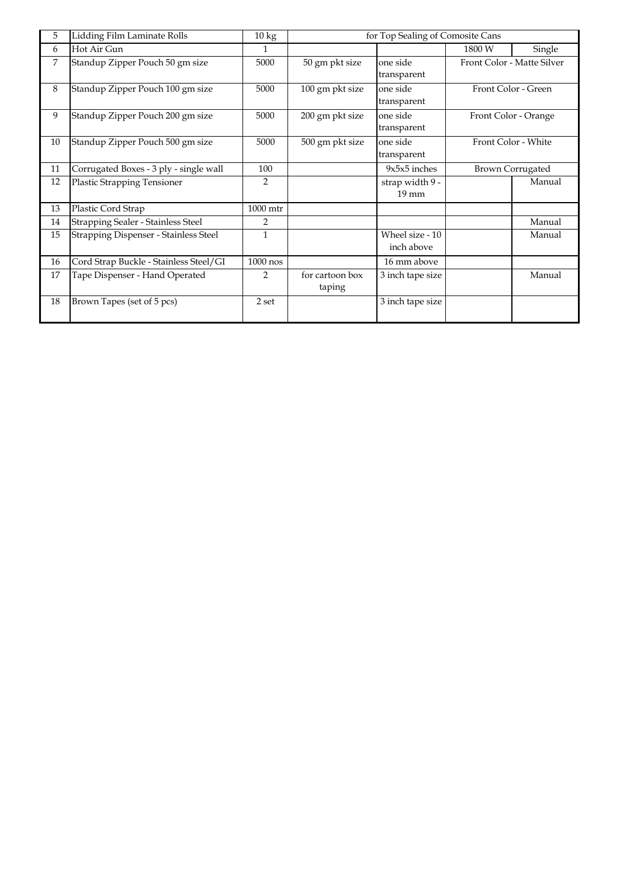| 5  | Lidding Film Laminate Rolls            | $10\,\mathrm{kg}$ | for Top Sealing of Comosite Cans |                  |                         |                            |  |  |
|----|----------------------------------------|-------------------|----------------------------------|------------------|-------------------------|----------------------------|--|--|
| 6  | Hot Air Gun                            | $\mathbf{1}$      |                                  |                  | 1800 W                  | Single                     |  |  |
| 7  | Standup Zipper Pouch 50 gm size        | 5000              | 50 gm pkt size                   | one side         |                         | Front Color - Matte Silver |  |  |
|    |                                        |                   |                                  | transparent      |                         |                            |  |  |
| 8  | Standup Zipper Pouch 100 gm size       | 5000              | 100 gm pkt size                  | one side         |                         | Front Color - Green        |  |  |
|    |                                        |                   |                                  | transparent      |                         |                            |  |  |
| 9  | Standup Zipper Pouch 200 gm size       | 5000              | 200 gm pkt size                  | one side         |                         | Front Color - Orange       |  |  |
|    |                                        |                   |                                  | transparent      |                         |                            |  |  |
| 10 | Standup Zipper Pouch 500 gm size       | 5000              | 500 gm pkt size                  | one side         |                         | Front Color - White        |  |  |
|    |                                        |                   |                                  | transparent      |                         |                            |  |  |
| 11 | Corrugated Boxes - 3 ply - single wall | 100               |                                  | 9x5x5 inches     | <b>Brown Corrugated</b> |                            |  |  |
| 12 | <b>Plastic Strapping Tensioner</b>     | 2                 |                                  | strap width 9 -  |                         | Manual                     |  |  |
|    |                                        |                   |                                  | $19 \text{ mm}$  |                         |                            |  |  |
| 13 | Plastic Cord Strap                     | 1000 mtr          |                                  |                  |                         |                            |  |  |
| 14 | Strapping Sealer - Stainless Steel     | $\overline{2}$    |                                  |                  |                         | Manual                     |  |  |
| 15 | Strapping Dispenser - Stainless Steel  | $\mathbf{1}$      |                                  | Wheel size - 10  |                         | Manual                     |  |  |
|    |                                        |                   |                                  | inch above       |                         |                            |  |  |
| 16 | Cord Strap Buckle - Stainless Steel/GI | $1000$ nos        |                                  | 16 mm above      |                         |                            |  |  |
| 17 | Tape Dispenser - Hand Operated         | $\overline{2}$    | for cartoon box                  | 3 inch tape size |                         | Manual                     |  |  |
|    |                                        |                   | taping                           |                  |                         |                            |  |  |
| 18 | Brown Tapes (set of 5 pcs)             | 2 set             |                                  | 3 inch tape size |                         |                            |  |  |
|    |                                        |                   |                                  |                  |                         |                            |  |  |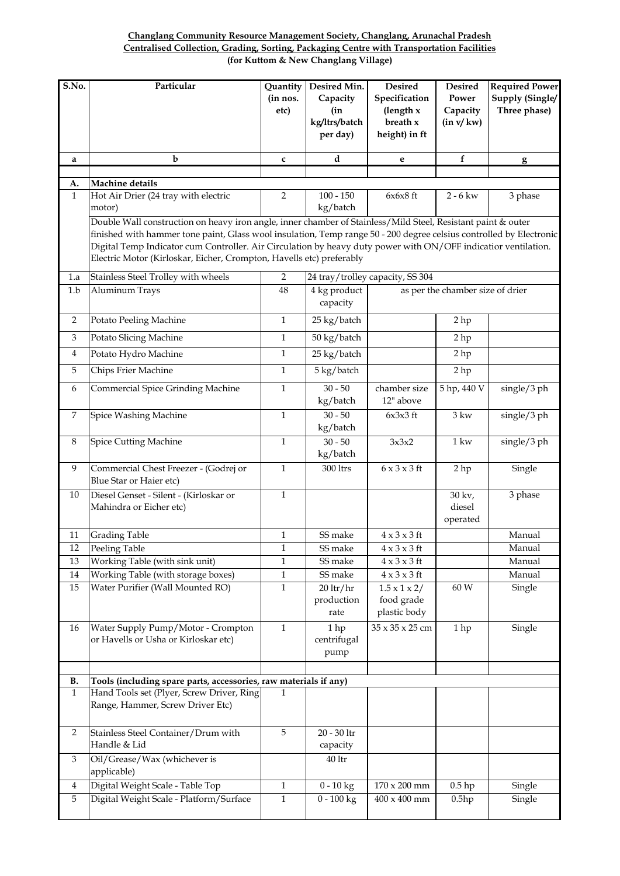## **Changlang Community Resource Management Society, Changlang, Arunachal Pradesh Centralised Collection, Grading, Sorting, Packaging Centre with Transportation Facilities (for Kuttom & New Changlang Village)**

| S.No.          | Particular                                                                                                                                                                                                                                                                                                                                                                                                                    | Quantity                     | Desired Min.                                 | <b>Desired</b>                                            | <b>Desired</b>                   | <b>Required Power</b>           |  |  |  |
|----------------|-------------------------------------------------------------------------------------------------------------------------------------------------------------------------------------------------------------------------------------------------------------------------------------------------------------------------------------------------------------------------------------------------------------------------------|------------------------------|----------------------------------------------|-----------------------------------------------------------|----------------------------------|---------------------------------|--|--|--|
|                |                                                                                                                                                                                                                                                                                                                                                                                                                               | (in nos.<br>etc)             | Capacity<br>(in<br>kg/ltrs/batch<br>per day) | Specification<br>(length $x$<br>breath x<br>height) in ft | Power<br>Capacity<br>(in v/kw)   | Supply (Single/<br>Three phase) |  |  |  |
| a              | b                                                                                                                                                                                                                                                                                                                                                                                                                             | $\mathbf c$                  | d                                            | e                                                         | $\mathbf f$                      | g                               |  |  |  |
|                | Machine details                                                                                                                                                                                                                                                                                                                                                                                                               |                              |                                              |                                                           |                                  |                                 |  |  |  |
| A.<br>1        | Hot Air Drier (24 tray with electric                                                                                                                                                                                                                                                                                                                                                                                          | $\overline{2}$               | $100 - 150$                                  | $6x6x8$ ft                                                | $2 - 6$ kw                       | 3 phase                         |  |  |  |
|                | motor)                                                                                                                                                                                                                                                                                                                                                                                                                        |                              | kg/batch                                     |                                                           |                                  |                                 |  |  |  |
|                | Double Wall construction on heavy iron angle, inner chamber of Stainless/Mild Steel, Resistant paint & outer<br>finished with hammer tone paint, Glass wool insulation, Temp range 50 - 200 degree celsius controlled by Electronic<br>Digital Temp Indicator cum Controller. Air Circulation by heavy duty power with ON/OFF indicatior ventilation.<br>Electric Motor (Kirloskar, Eicher, Crompton, Havells etc) preferably |                              |                                              |                                                           |                                  |                                 |  |  |  |
| 1.a            | Stainless Steel Trolley with wheels                                                                                                                                                                                                                                                                                                                                                                                           | $\sqrt{2}$                   |                                              | 24 tray/trolley capacity, SS 304                          |                                  |                                 |  |  |  |
| 1.b            | Aluminum Trays                                                                                                                                                                                                                                                                                                                                                                                                                | 48                           | 4 kg product<br>capacity                     |                                                           | as per the chamber size of drier |                                 |  |  |  |
| $\overline{2}$ | Potato Peeling Machine                                                                                                                                                                                                                                                                                                                                                                                                        | $\mathbf{1}$                 | 25 kg/batch                                  |                                                           | 2 <sub>hp</sub>                  |                                 |  |  |  |
| 3              | Potato Slicing Machine                                                                                                                                                                                                                                                                                                                                                                                                        | $\mathbf{1}$                 | 50 kg/batch                                  |                                                           | 2 hp                             |                                 |  |  |  |
| 4              | Potato Hydro Machine                                                                                                                                                                                                                                                                                                                                                                                                          | $\mathbf{1}$                 | 25 kg/batch                                  |                                                           | 2 <sub>hp</sub>                  |                                 |  |  |  |
| 5              | Chips Frier Machine                                                                                                                                                                                                                                                                                                                                                                                                           | $\mathbf{1}$                 | 5 kg/batch                                   |                                                           | 2 <sub>hp</sub>                  |                                 |  |  |  |
| 6              | Commercial Spice Grinding Machine                                                                                                                                                                                                                                                                                                                                                                                             | $\mathbf 1$                  | $30 - 50$<br>kg/batch                        | chamber size<br>12" above                                 | 5 hp, 440 V                      | single/3 ph                     |  |  |  |
| 7              | Spice Washing Machine                                                                                                                                                                                                                                                                                                                                                                                                         | $\mathbf{1}$                 | $30 - 50$<br>kg/batch                        | $6x3x3$ ft                                                | $3 \text{kw}$                    | single/3 ph                     |  |  |  |
| 8              | <b>Spice Cutting Machine</b>                                                                                                                                                                                                                                                                                                                                                                                                  | $\mathbf{1}$                 | $30 - 50$<br>kg/batch                        | 3x3x2                                                     | $1 \,\mathrm{kw}$                | single/3 ph                     |  |  |  |
| 9              | Commercial Chest Freezer - (Godrej or<br>Blue Star or Haier etc)                                                                                                                                                                                                                                                                                                                                                              | $\mathbf{1}$                 | 300 ltrs                                     | $6 \times 3 \times 3$ ft                                  | 2 hp                             | Single                          |  |  |  |
| 10             | Diesel Genset - Silent - (Kirloskar or<br>Mahindra or Eicher etc)                                                                                                                                                                                                                                                                                                                                                             | $\mathbf{1}$                 |                                              |                                                           | 30 kv,<br>diesel<br>operated     | 3 phase                         |  |  |  |
| 11             | <b>Grading Table</b>                                                                                                                                                                                                                                                                                                                                                                                                          | $\mathbf{1}$                 | SS make                                      | $4 \times 3 \times 3$ ft                                  |                                  | Manual                          |  |  |  |
| 12             | Peeling Table                                                                                                                                                                                                                                                                                                                                                                                                                 | 1                            | SS make                                      | $4 \times 3 \times 3$ ft                                  |                                  | Manual                          |  |  |  |
| 13             | Working Table (with sink unit)                                                                                                                                                                                                                                                                                                                                                                                                | $\mathbf{1}$                 | SS make                                      | $4 \times 3 \times 3$ ft                                  |                                  | Manual                          |  |  |  |
| $14\,$<br>15   | Working Table (with storage boxes)<br>Water Purifier (Wall Mounted RO)                                                                                                                                                                                                                                                                                                                                                        | $\mathbf{1}$<br>$\mathbf{1}$ | SS make<br>$20$ ltr/hr                       | $4 \times 3 \times 3$ ft                                  | 60 W                             | Manual                          |  |  |  |
|                |                                                                                                                                                                                                                                                                                                                                                                                                                               |                              | production<br>rate                           | $1.5 \times 1 \times 2/$<br>food grade<br>plastic body    |                                  | Single                          |  |  |  |
| 16             | Water Supply Pump/Motor - Crompton<br>or Havells or Usha or Kirloskar etc)                                                                                                                                                                                                                                                                                                                                                    | $\mathbf{1}$                 | 1 hp<br>centrifugal<br>pump                  | 35 x 35 x 25 cm                                           | 1 hp                             | Single                          |  |  |  |
| В.             | Tools (including spare parts, accessories, raw materials if any)                                                                                                                                                                                                                                                                                                                                                              |                              |                                              |                                                           |                                  |                                 |  |  |  |
| $\mathbf{1}$   | Hand Tools set (Plyer, Screw Driver, Ring<br>Range, Hammer, Screw Driver Etc)                                                                                                                                                                                                                                                                                                                                                 | 1                            |                                              |                                                           |                                  |                                 |  |  |  |
| $\overline{2}$ | Stainless Steel Container/Drum with<br>Handle & Lid                                                                                                                                                                                                                                                                                                                                                                           | 5                            | $20$ - $30$ $\rm{ltr}$<br>capacity           |                                                           |                                  |                                 |  |  |  |
| $\mathfrak{Z}$ | Oil/Grease/Wax (whichever is<br>applicable)                                                                                                                                                                                                                                                                                                                                                                                   |                              | 40 ltr                                       |                                                           |                                  |                                 |  |  |  |
| $\overline{4}$ | Digital Weight Scale - Table Top                                                                                                                                                                                                                                                                                                                                                                                              | $\mathbf{1}$                 | $0 - 10$ kg                                  | $170\times200$ mm                                         | $0.5$ hp                         | Single                          |  |  |  |
| $\mathbf 5$    | Digital Weight Scale - Platform/Surface                                                                                                                                                                                                                                                                                                                                                                                       | $\mathbf{1}$                 | $0 - 100$ kg                                 | $400 \times 400$ mm                                       | 0.5hp                            | Single                          |  |  |  |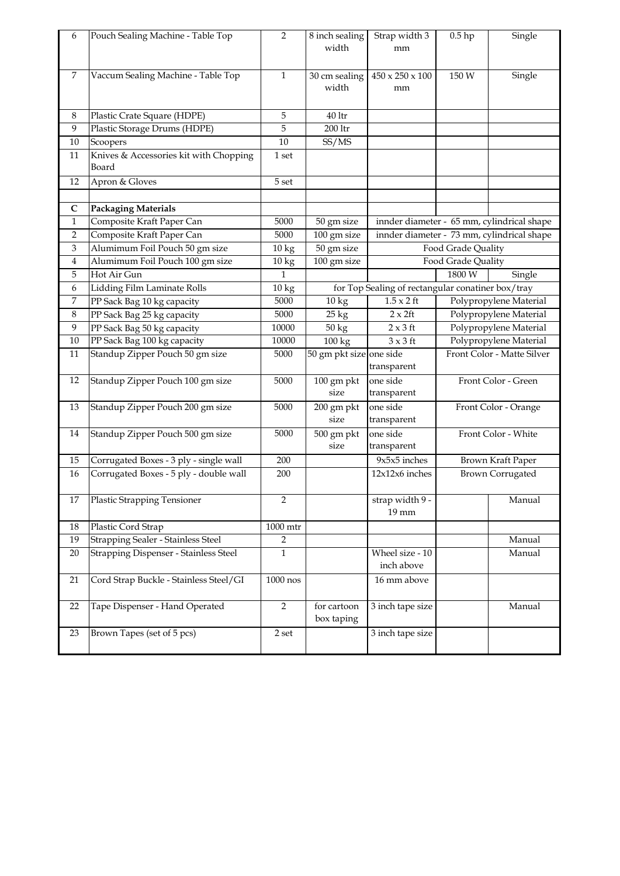| 6            | Pouch Sealing Machine - Table Top               | 2                  | 8 inch sealing<br>width   | Strap width 3<br>$0.5$ hp<br>mm                   |                            | Single                                     |  |
|--------------|-------------------------------------------------|--------------------|---------------------------|---------------------------------------------------|----------------------------|--------------------------------------------|--|
| 7            | Vaccum Sealing Machine - Table Top              | $\mathbf{1}$       | 30 cm sealing<br>width    | $450 \times 250 \times 100$<br>mm                 | 150 W                      | Single                                     |  |
| 8            | Plastic Crate Square (HDPE)                     | 5                  | $40$ ltr                  |                                                   |                            |                                            |  |
| 9            | Plastic Storage Drums (HDPE)                    | 5                  | 200 ltr                   |                                                   |                            |                                            |  |
| 10           | Scoopers                                        | 10                 | SS/MS                     |                                                   |                            |                                            |  |
| 11           | Knives & Accessories kit with Chopping<br>Board | 1 set              |                           |                                                   |                            |                                            |  |
| 12           | Apron & Gloves                                  | 5 set              |                           |                                                   |                            |                                            |  |
|              |                                                 |                    |                           |                                                   |                            |                                            |  |
| C            | <b>Packaging Materials</b>                      |                    |                           |                                                   |                            |                                            |  |
| $\mathbf{1}$ | Composite Kraft Paper Can                       | 5000               | 50 gm size                |                                                   |                            | innder diameter - 65 mm, cylindrical shape |  |
| 2            | Composite Kraft Paper Can                       | 5000               | 100 gm size               |                                                   |                            | innder diameter - 73 mm, cylindrical shape |  |
| 3            | Alumimum Foil Pouch 50 gm size                  | $10\,\mathrm{kg}$  | 50 gm size                |                                                   | Food Grade Quality         |                                            |  |
| 4            | Alumimum Foil Pouch 100 gm size                 | 10 kg              | 100 gm size               |                                                   | Food Grade Quality         |                                            |  |
| 5            | Hot Air Gun                                     | $\mathbf{1}$       |                           |                                                   | 1800 W<br>Single           |                                            |  |
| 6            | Lidding Film Laminate Rolls                     | $\overline{10}$ kg |                           | for Top Sealing of rectangular conatiner box/tray |                            |                                            |  |
| 7            | PP Sack Bag 10 kg capacity                      | 5000               | $10\,\mathrm{kg}$         | $1.5 \times 2$ ft                                 | Polypropylene Material     |                                            |  |
| 8            | PP Sack Bag 25 kg capacity                      | 5000               | $25 \text{ kg}$           | $2 \times 2$ ft                                   | Polypropylene Material     |                                            |  |
| 9            | PP Sack Bag 50 kg capacity                      | 10000              | 50 kg                     | $2 \times 3$ ft                                   | Polypropylene Material     |                                            |  |
| $10\,$       | PP Sack Bag 100 kg capacity                     | 10000              | 100 kg                    | $3 \times 3$ ft                                   | Polypropylene Material     |                                            |  |
| 11           | Standup Zipper Pouch 50 gm size                 | 5000               | 50 gm pkt size one side   | transparent                                       | Front Color - Matte Silver |                                            |  |
| 12           | Standup Zipper Pouch 100 gm size                | 5000               | 100 gm pkt<br>size        | one side<br>transparent                           |                            | Front Color - Green                        |  |
| 13           | Standup Zipper Pouch 200 gm size                | 5000               | 200 gm pkt<br>size        | one side<br>transparent                           |                            | Front Color - Orange                       |  |
| 14           | Standup Zipper Pouch 500 gm size                | 5000               | 500 gm pkt<br>size        | one side<br>transparent                           |                            | Front Color - White                        |  |
| 15           | Corrugated Boxes - 3 ply - single wall          | 200                |                           | $9x5x5$ inches                                    |                            | Brown Kraft Paper                          |  |
| 16           | Corrugated Boxes - 5 ply - double wall          | 200                |                           | 12x12x6 inches                                    |                            | <b>Brown Corrugated</b>                    |  |
| 17           | Plastic Strapping Tensioner                     | 2                  |                           | strap width 9 -<br>19 mm                          |                            | Manual                                     |  |
| 18           | Plastic Cord Strap                              | 1000 mtr           |                           |                                                   |                            |                                            |  |
| 19           | Strapping Sealer - Stainless Steel              | $\overline{2}$     |                           |                                                   |                            | Manual                                     |  |
| 20           | Strapping Dispenser - Stainless Steel           | 1                  |                           | Wheel size - 10<br>inch above                     |                            | Manual                                     |  |
| 21           | Cord Strap Buckle - Stainless Steel/GI          | $1000$ nos         |                           | 16 mm above                                       |                            |                                            |  |
| 22           | Tape Dispenser - Hand Operated                  | $\overline{2}$     | for cartoon<br>box taping | 3 inch tape size                                  |                            | Manual                                     |  |
| 23           | Brown Tapes (set of 5 pcs)                      | $2\,\mathrm{set}$  |                           | 3 inch tape size                                  |                            |                                            |  |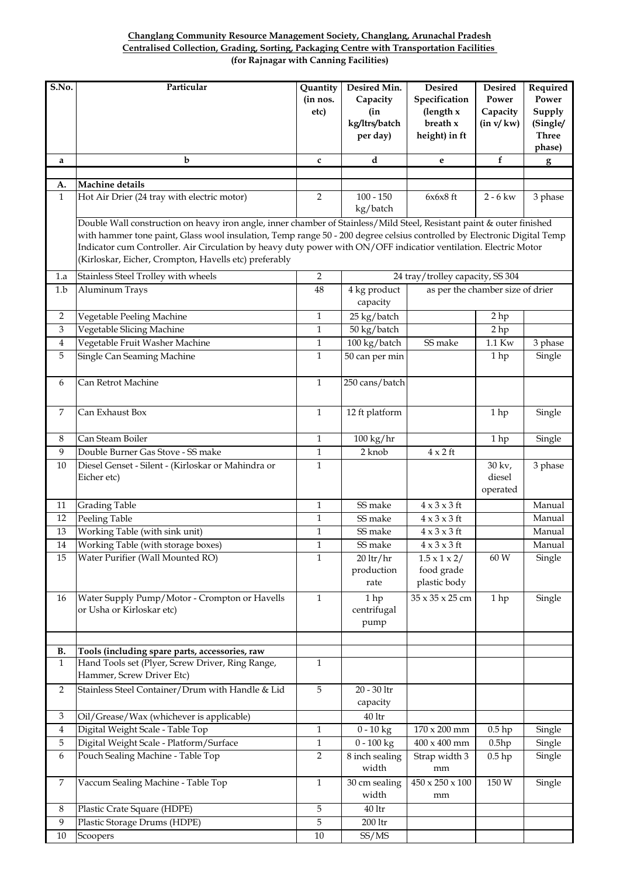#### **Centralised Collection, Grading, Sorting, Packaging Centre with Transportation Facilities Changlang Community Resource Management Society, Changlang, Arunachal Pradesh (for Rajnagar with Canning Facilities)**

| S.No.                     | Particular                                                                                                                                                                                                                                                                                                                                                                                                                                                           | Quantity<br>(in nos.<br>etc) | Desired Min.<br>Capacity<br>(in<br>kg/ltrs/batch<br>per day) | <b>Desired</b><br>Specification<br>(length $x$<br>breath x<br>height) in ft | <b>Desired</b><br>Power<br>Capacity<br>(in v/kw) | Required<br>Power<br>Supply<br>(Single/<br><b>Three</b><br>phase) |
|---------------------------|----------------------------------------------------------------------------------------------------------------------------------------------------------------------------------------------------------------------------------------------------------------------------------------------------------------------------------------------------------------------------------------------------------------------------------------------------------------------|------------------------------|--------------------------------------------------------------|-----------------------------------------------------------------------------|--------------------------------------------------|-------------------------------------------------------------------|
| a                         | $\mathbf b$                                                                                                                                                                                                                                                                                                                                                                                                                                                          | $\mathbf{c}$                 | d                                                            | e                                                                           | f                                                | $\mathbf{g}$                                                      |
|                           |                                                                                                                                                                                                                                                                                                                                                                                                                                                                      |                              |                                                              |                                                                             |                                                  |                                                                   |
| A.                        | Machine details                                                                                                                                                                                                                                                                                                                                                                                                                                                      |                              |                                                              |                                                                             |                                                  |                                                                   |
| $\mathbf{1}$              | Hot Air Drier (24 tray with electric motor)                                                                                                                                                                                                                                                                                                                                                                                                                          | $\overline{2}$               | $100 - 150$<br>kg/batch                                      | $6x6x8$ ft                                                                  | $2 - 6$ kw                                       | 3 phase                                                           |
| 1.a                       | Double Wall construction on heavy iron angle, inner chamber of Stainless/Mild Steel, Resistant paint & outer finished<br>with hammer tone paint, Glass wool insulation, Temp range 50 - 200 degree celsius controlled by Electronic Digital Temp<br>Indicator cum Controller. Air Circulation by heavy duty power with ON/OFF indicatior ventilation. Electric Motor<br>(Kirloskar, Eicher, Crompton, Havells etc) preferably<br>Stainless Steel Trolley with wheels | 2                            |                                                              | 24 tray/trolley capacity, SS 304                                            |                                                  |                                                                   |
| 1.b                       | Aluminum Trays                                                                                                                                                                                                                                                                                                                                                                                                                                                       | 48                           | 4 kg product<br>capacity                                     | as per the chamber size of drier                                            |                                                  |                                                                   |
| $\overline{2}$            | Vegetable Peeling Machine                                                                                                                                                                                                                                                                                                                                                                                                                                            | $\mathbf{1}$                 | 25 kg/batch                                                  |                                                                             | 2 <sub>hp</sub>                                  |                                                                   |
| $\ensuremath{\mathbf{3}}$ | Vegetable Slicing Machine                                                                                                                                                                                                                                                                                                                                                                                                                                            | $\mathbf{1}$                 | 50 kg/batch                                                  |                                                                             | 2 hp                                             |                                                                   |
| $\boldsymbol{4}$          | Vegetable Fruit Washer Machine                                                                                                                                                                                                                                                                                                                                                                                                                                       | $\mathbf{1}$                 | 100 kg/batch                                                 | SS make                                                                     | 1.1 Kw                                           | 3 phase                                                           |
| 5                         | Single Can Seaming Machine                                                                                                                                                                                                                                                                                                                                                                                                                                           | $\mathbf{1}$                 | $50$ can per min                                             |                                                                             | 1hp                                              | Single                                                            |
| 6                         | Can Retrot Machine                                                                                                                                                                                                                                                                                                                                                                                                                                                   | $\mathbf{1}$                 | 250 cans/batch                                               |                                                                             |                                                  |                                                                   |
| $\overline{7}$            | Can Exhaust Box                                                                                                                                                                                                                                                                                                                                                                                                                                                      | $\mathbf{1}$                 | 12 ft platform                                               |                                                                             | 1hp                                              | Single                                                            |
| 8                         | Can Steam Boiler                                                                                                                                                                                                                                                                                                                                                                                                                                                     | $\mathbf{1}$                 | $100 \text{ kg/hr}$                                          |                                                                             | 1hp                                              | Single                                                            |
| 9                         | Double Burner Gas Stove - SS make                                                                                                                                                                                                                                                                                                                                                                                                                                    | $\mathbf{1}$                 | 2 knob                                                       | $4 \times 2$ ft                                                             |                                                  |                                                                   |
| 10                        | Diesel Genset - Silent - (Kirloskar or Mahindra or<br>Eicher etc)                                                                                                                                                                                                                                                                                                                                                                                                    | $\mathbf{1}$                 |                                                              |                                                                             | $30 \text{ kv.}$<br>diesel<br>operated           | 3 phase                                                           |
| 11                        | <b>Grading Table</b>                                                                                                                                                                                                                                                                                                                                                                                                                                                 | $\mathbf{1}$                 | SS make                                                      | $4 \times 3 \times 3$ ft                                                    |                                                  | Manual                                                            |
| 12                        | Peeling Table                                                                                                                                                                                                                                                                                                                                                                                                                                                        | $\mathbf{1}$                 | SS make                                                      | $4 \times 3 \times 3$ ft                                                    |                                                  | Manual                                                            |
| 13                        | Working Table (with sink unit)                                                                                                                                                                                                                                                                                                                                                                                                                                       | $\mathbf{1}$                 | SS make                                                      | $4 \times 3 \times 3$ ft                                                    |                                                  | Manual                                                            |
| $14\,$                    | Working Table (with storage boxes)                                                                                                                                                                                                                                                                                                                                                                                                                                   | $\,1$                        | SS make                                                      | $4 \times 3 \times 3$ ft                                                    |                                                  | Manual                                                            |
| 15                        | Water Purifier (Wall Mounted RO)                                                                                                                                                                                                                                                                                                                                                                                                                                     | $\mathbf{1}$                 | $20 \frac{\text{lr}}{\text{hr}}$<br>production<br>rate       | $1.5 \times 1 \times 2/$<br>food grade<br>plastic body                      | 60 W                                             | Single                                                            |
| 16                        | Water Supply Pump/Motor - Crompton or Havells<br>or Usha or Kirloskar etc)                                                                                                                                                                                                                                                                                                                                                                                           | $\mathbf{1}$                 | 1 hp<br>centrifugal<br>pump                                  | $35 \times 35 \times 25$ cm                                                 | 1 hp                                             | Single                                                            |
| В.                        | Tools (including spare parts, accessories, raw                                                                                                                                                                                                                                                                                                                                                                                                                       |                              |                                                              |                                                                             |                                                  |                                                                   |
| $\mathbf{1}$              | Hand Tools set (Plyer, Screw Driver, Ring Range,<br>Hammer, Screw Driver Etc)                                                                                                                                                                                                                                                                                                                                                                                        | $\mathbf{1}$                 |                                                              |                                                                             |                                                  |                                                                   |
| $\overline{2}$            | Stainless Steel Container/Drum with Handle & Lid                                                                                                                                                                                                                                                                                                                                                                                                                     | $\mathbf 5$                  | $20$ - $30$ $\rm{ltr}$<br>capacity                           |                                                                             |                                                  |                                                                   |
| 3                         | Oil/Grease/Wax (whichever is applicable)                                                                                                                                                                                                                                                                                                                                                                                                                             |                              | $40\,\mathrm{ltr}$                                           |                                                                             |                                                  |                                                                   |
| $\overline{4}$            | Digital Weight Scale - Table Top                                                                                                                                                                                                                                                                                                                                                                                                                                     | $\mathbf{1}$                 | $0 - 10$ kg                                                  | $170 \times 200$ mm                                                         | $0.5$ hp                                         | Single                                                            |
| 5                         | Digital Weight Scale - Platform/Surface                                                                                                                                                                                                                                                                                                                                                                                                                              | 1                            | $0 - 100$ kg                                                 | $400 \times 400$ mm                                                         | 0.5hp                                            | Single                                                            |
| 6                         | Pouch Sealing Machine - Table Top                                                                                                                                                                                                                                                                                                                                                                                                                                    | 2                            | 8 inch sealing<br>width                                      | Strap width 3<br>mm                                                         | $0.5$ hp                                         | Single                                                            |
| 7                         | Vaccum Sealing Machine - Table Top                                                                                                                                                                                                                                                                                                                                                                                                                                   | $\mathbf{1}$                 | 30 cm sealing<br>width                                       | $450 \times 250 \times 100$<br>mm                                           | 150 W                                            | Single                                                            |
| 8                         | Plastic Crate Square (HDPE)                                                                                                                                                                                                                                                                                                                                                                                                                                          | 5                            | $40\,\mathrm{ltr}$                                           |                                                                             |                                                  |                                                                   |
| $\boldsymbol{9}$          | Plastic Storage Drums (HDPE)                                                                                                                                                                                                                                                                                                                                                                                                                                         | 5                            | $200$ ltr                                                    |                                                                             |                                                  |                                                                   |
| $10\,$                    | Scoopers                                                                                                                                                                                                                                                                                                                                                                                                                                                             | $10\,$                       | SS/MS                                                        |                                                                             |                                                  |                                                                   |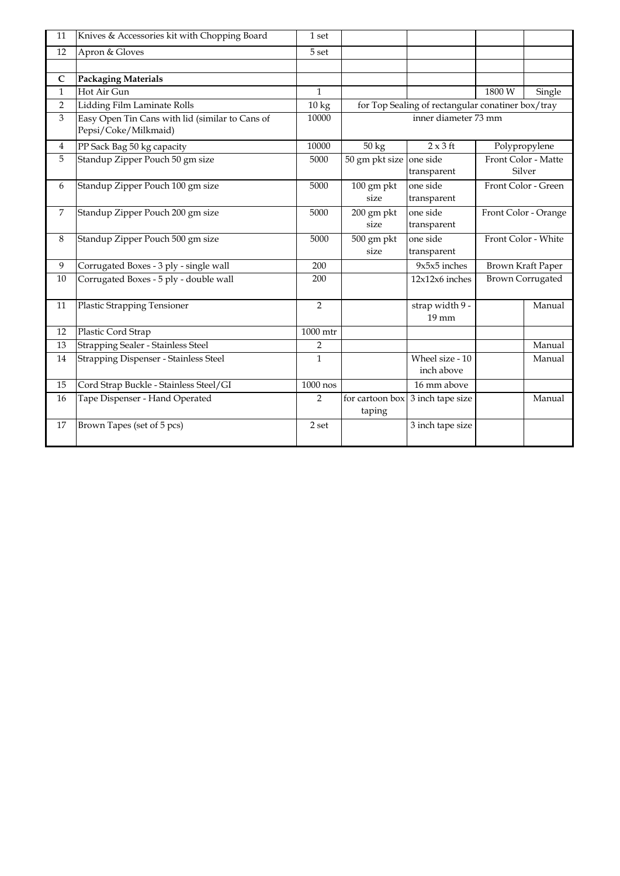| 11             | Knives & Accessories kit with Chopping Board                            | 1 set             |                           |                                                   |                      |                               |  |
|----------------|-------------------------------------------------------------------------|-------------------|---------------------------|---------------------------------------------------|----------------------|-------------------------------|--|
| 12             | Apron & Gloves                                                          | 5 set             |                           |                                                   |                      |                               |  |
|                |                                                                         |                   |                           |                                                   |                      |                               |  |
| $\mathsf{C}$   | <b>Packaging Materials</b>                                              |                   |                           |                                                   |                      |                               |  |
| $\mathbf{1}$   | Hot Air Gun                                                             | $\mathbf{1}$      |                           |                                                   | 1800W                | Single                        |  |
| $\overline{2}$ | Lidding Film Laminate Rolls                                             | $10\,\mathrm{kg}$ |                           | for Top Sealing of rectangular conatiner box/tray |                      |                               |  |
| 3              | Easy Open Tin Cans with lid (similar to Cans of<br>Pepsi/Coke/Milkmaid) | 10000             |                           | inner diameter 73 mm                              |                      |                               |  |
| $\overline{4}$ | PP Sack Bag 50 kg capacity                                              | 10000             | 50 kg                     | $2 \times 3$ ft                                   |                      | Polypropylene                 |  |
| 5              | Standup Zipper Pouch 50 gm size                                         | 5000              | 50 gm pkt size            | one side<br>transparent                           |                      | Front Color - Matte<br>Silver |  |
| 6              | Standup Zipper Pouch 100 gm size                                        | 5000              | 100 gm pkt<br>size        | one side<br>transparent                           | Front Color - Green  |                               |  |
| $\overline{7}$ | Standup Zipper Pouch 200 gm size                                        | 5000              | 200 gm pkt<br>size        | one side<br>transparent                           | Front Color - Orange |                               |  |
| 8              | Standup Zipper Pouch 500 gm size                                        | 5000              | 500 gm pkt<br>size        | one side<br>transparent                           | Front Color - White  |                               |  |
| 9              | Corrugated Boxes - 3 ply - single wall                                  | 200               |                           | $9x5x5$ inches                                    |                      | Brown Kraft Paper             |  |
| 10             | Corrugated Boxes - 5 ply - double wall                                  | 200               |                           | 12x12x6 inches                                    |                      | <b>Brown Corrugated</b>       |  |
| 11             | <b>Plastic Strapping Tensioner</b>                                      | $\overline{2}$    |                           | strap width 9 -<br>19 mm                          |                      | Manual                        |  |
| 12             | Plastic Cord Strap                                                      | 1000 mtr          |                           |                                                   |                      |                               |  |
| 13             | Strapping Sealer - Stainless Steel                                      | $\overline{2}$    |                           |                                                   |                      | Manual                        |  |
| 14             | <b>Strapping Dispenser - Stainless Steel</b>                            | $\mathbf{1}$      |                           | Wheel size - 10<br>inch above                     |                      | Manual                        |  |
| 15             | Cord Strap Buckle - Stainless Steel/GI                                  | $1000$ nos        |                           | 16 mm above                                       |                      |                               |  |
| 16             | Tape Dispenser - Hand Operated                                          | $\overline{2}$    | for cartoon box<br>taping | 3 inch tape size                                  |                      | Manual                        |  |
| 17             | Brown Tapes (set of 5 pcs)                                              | 2 set             |                           | 3 inch tape size                                  |                      |                               |  |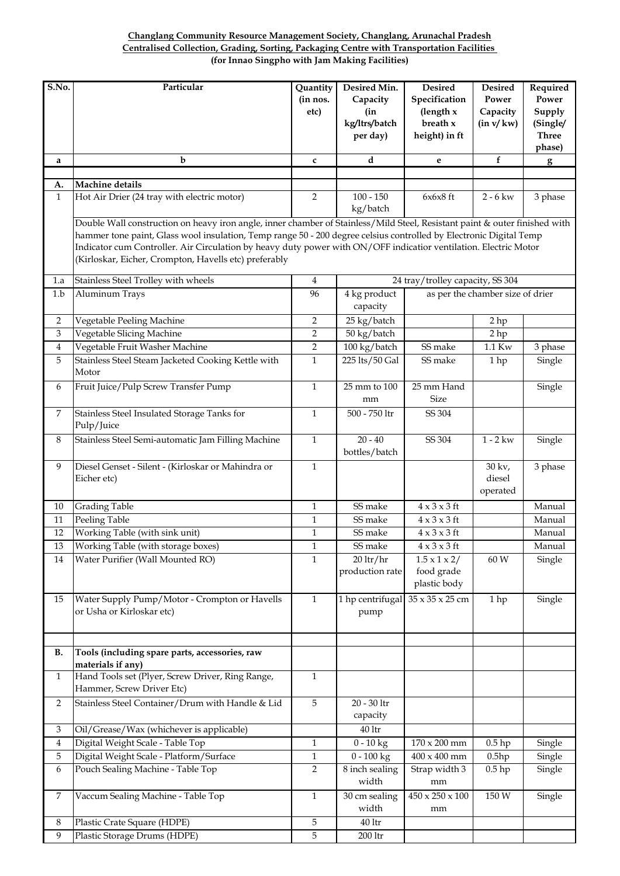## **Changlang Community Resource Management Society, Changlang, Arunachal Pradesh Centralised Collection, Grading, Sorting, Packaging Centre with Transportation Facilities (for Innao Singpho with Jam Making Facilities)**

| S.No.          | Particular                                                                                                                                                                                                                                                                                                                                                                                                                    | Quantity<br>(in nos.<br>etc) | Desired Min.<br>Capacity<br>(in<br>kg/ltrs/batch<br>per day) | <b>Desired</b><br>Specification<br>(length $x$<br>breath x<br>height) in ft | <b>Desired</b><br>Power<br>Capacity<br>(in v/kw) | Required<br>Power<br>Supply<br>(Single/<br><b>Three</b><br>phase) |  |  |  |
|----------------|-------------------------------------------------------------------------------------------------------------------------------------------------------------------------------------------------------------------------------------------------------------------------------------------------------------------------------------------------------------------------------------------------------------------------------|------------------------------|--------------------------------------------------------------|-----------------------------------------------------------------------------|--------------------------------------------------|-------------------------------------------------------------------|--|--|--|
| a              | b                                                                                                                                                                                                                                                                                                                                                                                                                             | c                            | d                                                            | e                                                                           | f                                                | $g_{\parallel}$                                                   |  |  |  |
|                |                                                                                                                                                                                                                                                                                                                                                                                                                               |                              |                                                              |                                                                             |                                                  |                                                                   |  |  |  |
| A.             | Machine details                                                                                                                                                                                                                                                                                                                                                                                                               |                              |                                                              |                                                                             |                                                  |                                                                   |  |  |  |
| $\mathbf{1}$   | Hot Air Drier (24 tray with electric motor)                                                                                                                                                                                                                                                                                                                                                                                   | $\overline{2}$               | $100 - 150$<br>kg/batch                                      | $6x6x8$ ft                                                                  | $2 - 6$ kw                                       | 3 phase                                                           |  |  |  |
|                | Double Wall construction on heavy iron angle, inner chamber of Stainless/Mild Steel, Resistant paint & outer finished with<br>hammer tone paint, Glass wool insulation, Temp range 50 - 200 degree celsius controlled by Electronic Digital Temp<br>Indicator cum Controller. Air Circulation by heavy duty power with ON/OFF indicatior ventilation. Electric Motor<br>(Kirloskar, Eicher, Crompton, Havells etc) preferably |                              |                                                              |                                                                             |                                                  |                                                                   |  |  |  |
| 1.a            | Stainless Steel Trolley with wheels                                                                                                                                                                                                                                                                                                                                                                                           | 4                            |                                                              | 24 tray/trolley capacity, SS 304                                            |                                                  |                                                                   |  |  |  |
| 1.b            | Aluminum Trays                                                                                                                                                                                                                                                                                                                                                                                                                | 96                           | 4 kg product<br>capacity                                     |                                                                             | as per the chamber size of drier                 |                                                                   |  |  |  |
| 2              | Vegetable Peeling Machine                                                                                                                                                                                                                                                                                                                                                                                                     | $\overline{2}$               | 25 kg/batch                                                  |                                                                             | 2 <sub>hp</sub>                                  |                                                                   |  |  |  |
| $\mathfrak{B}$ | Vegetable Slicing Machine                                                                                                                                                                                                                                                                                                                                                                                                     | $\overline{2}$               | 50 kg/batch                                                  |                                                                             | 2hp                                              |                                                                   |  |  |  |
| $\overline{4}$ | Vegetable Fruit Washer Machine                                                                                                                                                                                                                                                                                                                                                                                                | $\overline{2}$               | 100 kg/batch                                                 | SS make                                                                     | 1.1 Kw                                           | 3 phase                                                           |  |  |  |
| 5              | Stainless Steel Steam Jacketed Cooking Kettle with<br>Motor                                                                                                                                                                                                                                                                                                                                                                   | $\mathbf{1}$                 | 225 lts/50 Gal                                               | SS make                                                                     | 1hp                                              | Single                                                            |  |  |  |
| 6              | Fruit Juice/Pulp Screw Transfer Pump                                                                                                                                                                                                                                                                                                                                                                                          | $\mathbf{1}$                 | 25 mm to 100<br>mm                                           | 25 mm Hand<br>Size                                                          |                                                  | Single                                                            |  |  |  |
| $\overline{7}$ | Stainless Steel Insulated Storage Tanks for<br>Pulp/Juice                                                                                                                                                                                                                                                                                                                                                                     | $\mathbf{1}$                 | 500 - 750 ltr                                                | SS 304                                                                      |                                                  |                                                                   |  |  |  |
| $\,8\,$        | Stainless Steel Semi-automatic Jam Filling Machine                                                                                                                                                                                                                                                                                                                                                                            | $\mathbf{1}$                 | $20 - 40$<br>bottles/batch                                   | SS 304                                                                      | $1 - 2$ kw                                       | Single                                                            |  |  |  |
| 9              | Diesel Genset - Silent - (Kirloskar or Mahindra or<br>Eicher etc)                                                                                                                                                                                                                                                                                                                                                             | $\mathbf{1}$                 |                                                              |                                                                             | 30 kv,<br>diesel<br>operated                     | 3 phase                                                           |  |  |  |
| 10             | <b>Grading Table</b>                                                                                                                                                                                                                                                                                                                                                                                                          | $\mathbf{1}$                 | SS make                                                      | $4 \times 3 \times 3$ ft                                                    |                                                  | Manual                                                            |  |  |  |
| 11             | Peeling Table                                                                                                                                                                                                                                                                                                                                                                                                                 | $\mathbf{1}$                 | SS make                                                      | $4 \times 3 \times 3$ ft                                                    |                                                  | Manual                                                            |  |  |  |
| 12             | Working Table (with sink unit)                                                                                                                                                                                                                                                                                                                                                                                                | $\mathbf{1}$                 | SS make                                                      | $4 \times 3 \times 3$ ft                                                    |                                                  | Manual                                                            |  |  |  |
| $13\,$         | Working Table (with storage boxes)                                                                                                                                                                                                                                                                                                                                                                                            | $\mathbf{1}$                 | SS make                                                      | $4 \times 3 \times 3$ ft                                                    |                                                  | Manual                                                            |  |  |  |
| 14             | Water Purifier (Wall Mounted RO)                                                                                                                                                                                                                                                                                                                                                                                              | $\mathbf{1}$                 | $20$ ltr/hr<br>production rate                               | $1.5 \times 1 \times 2/$<br>food grade<br>plastic body                      | 60 W                                             | Single                                                            |  |  |  |
| 15             | Water Supply Pump/Motor - Crompton or Havells<br>or Usha or Kirloskar etc)                                                                                                                                                                                                                                                                                                                                                    | $\mathbf{1}$                 | $\overline{1}$ hp centrifugal<br>pump                        | 35 x 35 x 25 cm                                                             | 1hp                                              | Single                                                            |  |  |  |
| <b>B.</b>      | Tools (including spare parts, accessories, raw<br>materials if any)                                                                                                                                                                                                                                                                                                                                                           |                              |                                                              |                                                                             |                                                  |                                                                   |  |  |  |
| $\mathbf{1}$   | Hand Tools set (Plyer, Screw Driver, Ring Range,<br>Hammer, Screw Driver Etc)                                                                                                                                                                                                                                                                                                                                                 | $\mathbf{1}$                 |                                                              |                                                                             |                                                  |                                                                   |  |  |  |
| $\overline{2}$ | Stainless Steel Container/Drum with Handle & Lid                                                                                                                                                                                                                                                                                                                                                                              | $\overline{5}$               | $20 - 30$ ltr<br>capacity                                    |                                                                             |                                                  |                                                                   |  |  |  |
| 3              | Oil/Grease/Wax (whichever is applicable)                                                                                                                                                                                                                                                                                                                                                                                      |                              | $40\,\mathrm{ltr}$                                           |                                                                             |                                                  |                                                                   |  |  |  |
| 4              | Digital Weight Scale - Table Top                                                                                                                                                                                                                                                                                                                                                                                              | $\mathbf{1}$                 | $\frac{1}{0-10}$ kg                                          | $170 \times 200$ mm                                                         | $0.5$ hp                                         | Single                                                            |  |  |  |
| 5              | Digital Weight Scale - Platform/Surface                                                                                                                                                                                                                                                                                                                                                                                       | $\mathbf{1}$                 | $0 - 100$ kg                                                 | $400 \times 400$ mm                                                         | 0.5hp                                            | Single                                                            |  |  |  |
| 6              | Pouch Sealing Machine - Table Top                                                                                                                                                                                                                                                                                                                                                                                             | $\overline{2}$               | 8 inch sealing<br>width                                      | Strap width 3<br>mm                                                         | $0.5$ hp                                         | Single                                                            |  |  |  |
| 7              | Vaccum Sealing Machine - Table Top                                                                                                                                                                                                                                                                                                                                                                                            | $\mathbf{1}$                 | 30 cm sealing<br>width                                       | $450 \times 250 \times 100$<br>mm                                           | 150 W                                            | Single                                                            |  |  |  |
| 8              | Plastic Crate Square (HDPE)                                                                                                                                                                                                                                                                                                                                                                                                   | 5                            | $40\,\mathrm{ltr}$                                           |                                                                             |                                                  |                                                                   |  |  |  |
| 9              | Plastic Storage Drums (HDPE)                                                                                                                                                                                                                                                                                                                                                                                                  | 5                            | 200 ltr                                                      |                                                                             |                                                  |                                                                   |  |  |  |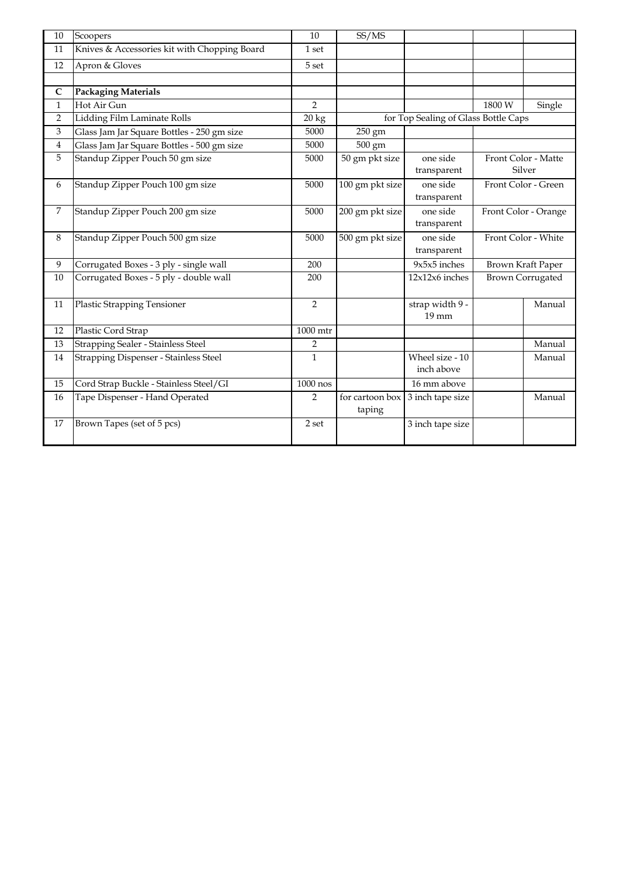| 10             | Scoopers                                     | 10             | SS/MS           |                                      |                               |                          |
|----------------|----------------------------------------------|----------------|-----------------|--------------------------------------|-------------------------------|--------------------------|
| 11             | Knives & Accessories kit with Chopping Board | 1 set          |                 |                                      |                               |                          |
| 12             | Apron & Gloves                               | 5 set          |                 |                                      |                               |                          |
|                |                                              |                |                 |                                      |                               |                          |
| $\mathsf{C}$   | <b>Packaging Materials</b>                   |                |                 |                                      |                               |                          |
| $\mathbf{1}$   | Hot Air Gun                                  | $\overline{2}$ |                 |                                      | 1800 W                        | Single                   |
| $\overline{2}$ | Lidding Film Laminate Rolls                  | 20 kg          |                 | for Top Sealing of Glass Bottle Caps |                               |                          |
| 3              | Glass Jam Jar Square Bottles - 250 gm size   | 5000           | 250 gm          |                                      |                               |                          |
| $\overline{4}$ | Glass Jam Jar Square Bottles - 500 gm size   | 5000           | 500 gm          |                                      |                               |                          |
| 5              | Standup Zipper Pouch 50 gm size              | 5000           | 50 gm pkt size  | one side                             | Front Color - Matte<br>Silver |                          |
|                |                                              |                |                 | transparent                          |                               |                          |
| 6              | Standup Zipper Pouch 100 gm size             | 5000           | 100 gm pkt size | one side                             | Front Color - Green           |                          |
|                |                                              |                |                 | transparent                          |                               |                          |
| 7              | Standup Zipper Pouch 200 gm size             | 5000           | 200 gm pkt size | one side                             | Front Color - Orange          |                          |
|                |                                              |                |                 | transparent                          |                               |                          |
| 8              | Standup Zipper Pouch 500 gm size             | 5000           | 500 gm pkt size | one side                             | Front Color - White           |                          |
|                |                                              |                |                 | transparent                          |                               |                          |
| 9              | Corrugated Boxes - 3 ply - single wall       | 200            |                 | $9x5x5$ inches                       |                               | <b>Brown Kraft Paper</b> |
| 10             | Corrugated Boxes - 5 ply - double wall       | 200            |                 | $12x12x6$ inches                     |                               | <b>Brown Corrugated</b>  |
| 11             | <b>Plastic Strapping Tensioner</b>           | $\overline{2}$ |                 | strap width 9 -                      |                               | Manual                   |
|                |                                              |                |                 | 19 mm                                |                               |                          |
| 12             | Plastic Cord Strap                           | 1000 mtr       |                 |                                      |                               |                          |
| 13             | Strapping Sealer - Stainless Steel           | 2              |                 |                                      |                               | Manual                   |
| 14             | Strapping Dispenser - Stainless Steel        | $\mathbf{1}$   |                 | Wheel size - 10                      |                               | Manual                   |
|                |                                              |                |                 | inch above                           |                               |                          |
| 15             | Cord Strap Buckle - Stainless Steel/GI       | $1000$ nos     |                 | 16 mm above                          |                               |                          |
| 16             | Tape Dispenser - Hand Operated               | $\overline{2}$ | for cartoon box | 3 inch tape size                     |                               | Manual                   |
|                |                                              |                | taping          |                                      |                               |                          |
| 17             | Brown Tapes (set of 5 pcs)                   | 2 set          |                 | 3 inch tape size                     |                               |                          |
|                |                                              |                |                 |                                      |                               |                          |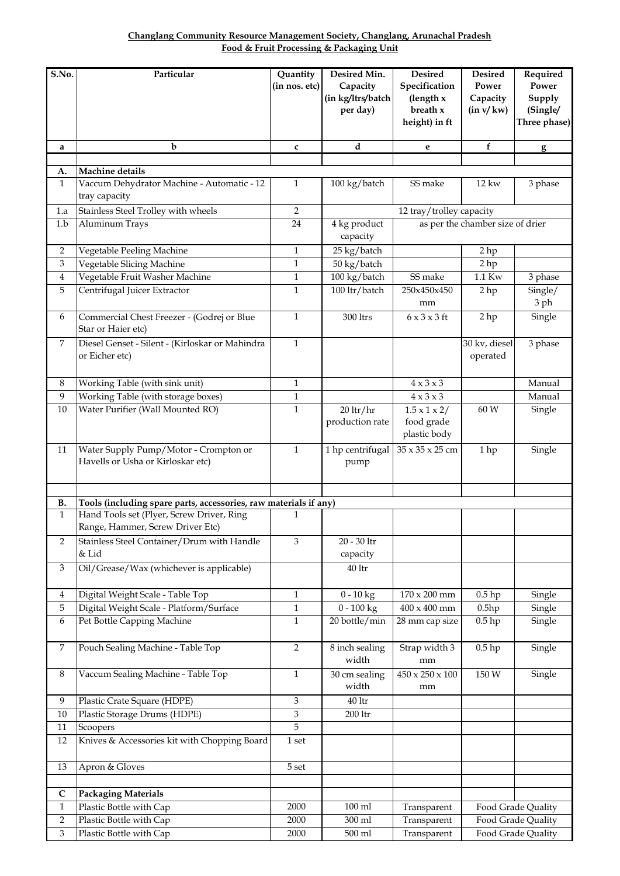|                                          | Changlang Community Resource Management Society, Changlang, Arunachal Pradesh |
|------------------------------------------|-------------------------------------------------------------------------------|
| Food & Fruit Processing & Packaging Unit |                                                                               |

| S.No.          | Particular                                                       | Quantity       | Desired Min.                  | <b>Desired</b>                    | <b>Desired</b>                   | Required           |
|----------------|------------------------------------------------------------------|----------------|-------------------------------|-----------------------------------|----------------------------------|--------------------|
|                |                                                                  | (in nos. etc)  | Capacity<br>(in kg/ltrs/batch | Specification<br>(length $x$      | Power<br>Capacity                | Power<br>Supply    |
|                |                                                                  |                | per day)                      | breath x                          | (in v/kw)                        | (Single/           |
|                |                                                                  |                |                               | height) in ft                     |                                  | Three phase)       |
|                |                                                                  |                |                               |                                   |                                  |                    |
| a              | b                                                                | $\mathbf{c}$   | d                             | e                                 | $\mathbf f$                      | g                  |
| А.             | Machine details                                                  |                |                               |                                   |                                  |                    |
| $\mathbf{1}$   | Vaccum Dehydrator Machine - Automatic - 12                       | 1              | 100 kg/batch                  | SS make                           | 12 kw                            | 3 phase            |
|                | tray capacity                                                    |                |                               |                                   |                                  |                    |
| 1.a            | Stainless Steel Trolley with wheels                              | $\overline{2}$ |                               | 12 tray/trolley capacity          |                                  |                    |
| 1.b            | Aluminum Trays                                                   | 24             | 4 kg product<br>capacity      |                                   | as per the chamber size of drier |                    |
| 2              | Vegetable Peeling Machine                                        | 1              | 25 kg/batch                   |                                   | 2 hp                             |                    |
| 3              | Vegetable Slicing Machine                                        | $\mathbf{1}$   | 50 kg/batch                   |                                   | 2 hp                             |                    |
| $\overline{4}$ | Vegetable Fruit Washer Machine                                   | $\mathbf{1}$   | 100 kg/batch                  | SS make                           | 1.1 Kw                           | 3 phase            |
| 5              | Centrifugal Juicer Extractor                                     | $\mathbf{1}$   | 100 ltr/batch                 | 250x450x450<br>mm                 | 2 <sub>hp</sub>                  | Single/<br>3 ph    |
| 6              | Commercial Chest Freezer - (Godrej or Blue<br>Star or Haier etc) | $\mathbf{1}$   | 300 ltrs                      | $6 \times 3 \times 3$ ft          | 2 hp                             | Single             |
| 7              | Diesel Genset - Silent - (Kirloskar or Mahindra                  | $\mathbf{1}$   |                               |                                   | 30 kv, diesel                    | 3 phase            |
|                | or Eicher etc)                                                   |                |                               |                                   | operated                         |                    |
| 8              | Working Table (with sink unit)                                   | $\mathbf{1}$   |                               | $4 \times 3 \times 3$             |                                  | Manual             |
| 9              | Working Table (with storage boxes)                               | $\mathbf{1}$   |                               | $4 \times 3 \times 3$             |                                  | Manual             |
| 10             | Water Purifier (Wall Mounted RO)                                 | 1              | $20$ ltr/hr                   | $1.5 \times 1 \times 2/$          | 60 W                             | Single             |
|                |                                                                  |                | production rate               | food grade<br>plastic body        |                                  |                    |
| 11             | Water Supply Pump/Motor - Crompton or                            | $\mathbf{1}$   | 1 hp centrifugal              | 35 x 35 x 25 cm                   | 1 hp                             | Single             |
|                | Havells or Usha or Kirloskar etc)                                |                | pump                          |                                   |                                  |                    |
|                |                                                                  |                |                               |                                   |                                  |                    |
| В.             | Tools (including spare parts, accessories, raw materials if any) |                |                               |                                   |                                  |                    |
| $\mathbf{1}$   | Hand Tools set (Plyer, Screw Driver, Ring                        | 1              |                               |                                   |                                  |                    |
|                | Range, Hammer, Screw Driver Etc)                                 |                |                               |                                   |                                  |                    |
| 2              | Stainless Steel Container/Drum with Handle                       | 3              | $20$ - $30$ $\rm{ltr}$        |                                   |                                  |                    |
|                | & Lid                                                            |                | capacity                      |                                   |                                  |                    |
| 3              | Oil/Grease/Wax (whichever is applicable)                         |                | $40\,\mathrm{ltr}$            |                                   |                                  |                    |
| 4              | Digital Weight Scale - Table Top                                 | $\mathbf{1}$   | $0 - 10$ kg                   | $170\times200$ mm                 | $0.5$ hp                         | Single             |
| 5              | Digital Weight Scale - Platform/Surface                          | $\mathbf{1}$   | $0 - 100$ kg                  | $400 \times 400$ mm               | 0.5hp                            | Single             |
| 6              | Pet Bottle Capping Machine                                       | $\mathbf{1}$   | 20 bottle/min                 | 28 mm cap size                    | $0.5$ hp                         | Single             |
|                |                                                                  |                |                               |                                   |                                  |                    |
| 7              | Pouch Sealing Machine - Table Top                                | $\overline{2}$ | 8 inch sealing                | Strap width 3                     | $0.5$ hp                         | Single             |
|                |                                                                  |                | width                         | mm                                |                                  |                    |
| 8              | Vaccum Sealing Machine - Table Top                               | $\mathbf{1}$   | 30 cm sealing<br>width        | $450 \times 250 \times 100$<br>mm | 150 W                            | Single             |
| $\overline{9}$ | Plastic Crate Square (HDPE)                                      | 3              | $40\,\mathrm{ltr}$            |                                   |                                  |                    |
| 10             | Plastic Storage Drums (HDPE)                                     | $\,3$          | $200\,\mathrm{ltr}$           |                                   |                                  |                    |
| 11             | Scoopers                                                         | 5              |                               |                                   |                                  |                    |
| $12\,$         | Knives & Accessories kit with Chopping Board                     | 1 set          |                               |                                   |                                  |                    |
| $13\,$         | Apron & Gloves                                                   | 5 set          |                               |                                   |                                  |                    |
|                |                                                                  |                |                               |                                   |                                  |                    |
| $\mathsf{C}$   | <b>Packaging Materials</b>                                       |                |                               |                                   |                                  |                    |
| $\mathbf{1}$   | Plastic Bottle with Cap                                          | 2000           | $100$ ml                      | Transparent                       |                                  | Food Grade Quality |
| 2              | Plastic Bottle with Cap                                          | 2000           | 300 ml                        | Transparent                       |                                  | Food Grade Quality |
| 3              | Plastic Bottle with Cap                                          | 2000           | 500 ml                        | Transparent                       |                                  | Food Grade Quality |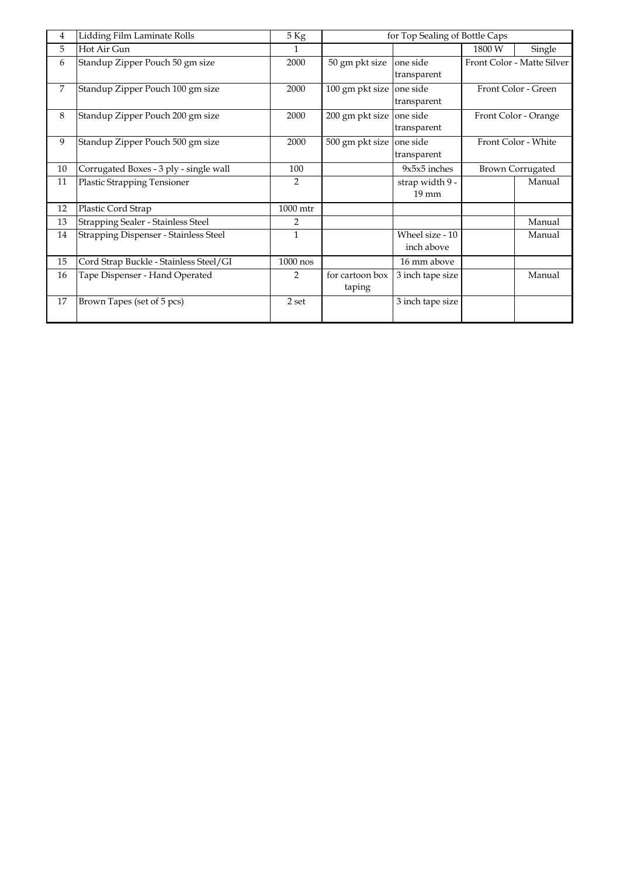| 4  | Lidding Film Laminate Rolls            | 5 Kg           | for Top Sealing of Bottle Caps |                  |        |                            |  |
|----|----------------------------------------|----------------|--------------------------------|------------------|--------|----------------------------|--|
| 5  | Hot Air Gun                            | 1              |                                |                  | 1800 W | Single                     |  |
| 6  | Standup Zipper Pouch 50 gm size        | 2000           | 50 gm pkt size                 | one side         |        | Front Color - Matte Silver |  |
|    |                                        |                |                                | transparent      |        |                            |  |
| 7  | Standup Zipper Pouch 100 gm size       | 2000           | 100 gm pkt size                | one side         |        | Front Color - Green        |  |
|    |                                        |                |                                | transparent      |        |                            |  |
| 8  | Standup Zipper Pouch 200 gm size       | 2000           | 200 gm pkt size                | one side         |        | Front Color - Orange       |  |
|    |                                        |                |                                | transparent      |        |                            |  |
| 9  | Standup Zipper Pouch 500 gm size       | 2000           | 500 gm pkt size                | one side         |        | Front Color - White        |  |
|    |                                        |                |                                | transparent      |        |                            |  |
| 10 | Corrugated Boxes - 3 ply - single wall | 100            |                                | $9x5x5$ inches   |        | <b>Brown Corrugated</b>    |  |
| 11 | <b>Plastic Strapping Tensioner</b>     | $\overline{2}$ |                                | strap width 9 -  |        | Manual                     |  |
|    |                                        |                |                                | $19 \text{ mm}$  |        |                            |  |
| 12 | Plastic Cord Strap                     | 1000 mtr       |                                |                  |        |                            |  |
| 13 | Strapping Sealer - Stainless Steel     | $\mathcal{P}$  |                                |                  |        | Manual                     |  |
| 14 | Strapping Dispenser - Stainless Steel  | $\mathbf{1}$   |                                | Wheel size - 10  |        | Manual                     |  |
|    |                                        |                |                                | inch above       |        |                            |  |
| 15 | Cord Strap Buckle - Stainless Steel/GI | $1000$ nos     |                                | 16 mm above      |        |                            |  |
| 16 | Tape Dispenser - Hand Operated         | $\overline{2}$ | for cartoon box                | 3 inch tape size |        | Manual                     |  |
|    |                                        |                | taping                         |                  |        |                            |  |
| 17 | Brown Tapes (set of 5 pcs)             | 2 set          |                                | 3 inch tape size |        |                            |  |
|    |                                        |                |                                |                  |        |                            |  |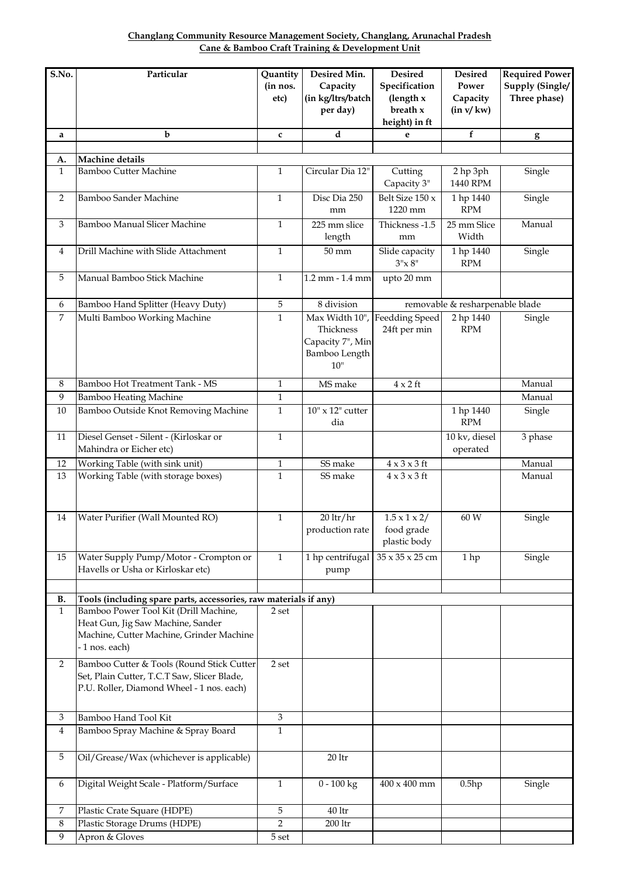**Cane & Bamboo Craft Training & Development Unit Changlang Community Resource Management Society, Changlang, Arunachal Pradesh**

| S.No.              | Particular                                                       | Quantity       | Desired Min.                  | <b>Desired</b>             | <b>Desired</b>                    | <b>Required Power</b> |
|--------------------|------------------------------------------------------------------|----------------|-------------------------------|----------------------------|-----------------------------------|-----------------------|
|                    |                                                                  | (in nos.       | Capacity                      | Specification              | Power                             | Supply (Single/       |
|                    |                                                                  | etc)           | (in kg/ltrs/batch             | (length x                  | Capacity                          | Three phase)          |
|                    |                                                                  |                | per day)                      | breath x                   | (in v/kw)                         |                       |
|                    |                                                                  |                |                               | height) in ft              |                                   |                       |
| a                  | b                                                                | $\mathbf{c}$   | d                             | e                          | f                                 | $g_{\parallel}$       |
|                    |                                                                  |                |                               |                            |                                   |                       |
| A.<br>$\mathbf{1}$ | Machine details<br><b>Bamboo Cutter Machine</b>                  | $\mathbf{1}$   | Circular Dia 12"              | Cutting                    | 2 hp 3ph                          | Single                |
|                    |                                                                  |                |                               | Capacity 3"                | 1440 RPM                          |                       |
| $\overline{2}$     | Bamboo Sander Machine                                            | $\mathbf{1}$   | Disc Dia 250<br>mm            | Belt Size 150 x<br>1220 mm | 1 hp 1440<br><b>RPM</b>           | Single                |
| 3                  | Bamboo Manual Slicer Machine                                     | $\mathbf{1}$   | 225 mm slice<br>length        | Thickness -1.5<br>mm       | 25 mm Slice<br>Width              | Manual                |
| 4                  | Drill Machine with Slide Attachment                              | $\mathbf{1}$   | $50 \text{ mm}$               | Slide capacity<br>$3"x 8"$ | 1 hp 1440<br>$\operatorname{RPM}$ | Single                |
| 5                  | Manual Bamboo Stick Machine                                      | $\mathbf{1}$   | 1.2 mm - 1.4 mm               | upto 20 mm                 |                                   |                       |
| 6                  | Bamboo Hand Splitter (Heavy Duty)                                | 5              | 8 division                    |                            | removable & resharpenable blade   |                       |
| 7                  | Multi Bamboo Working Machine                                     | $\mathbf{1}$   | Max Width 10",                | <b>Feedding Speed</b>      | 2 hp 1440                         | Single                |
|                    |                                                                  |                | Thickness                     | 24ft per min               | <b>RPM</b>                        |                       |
|                    |                                                                  |                | Capacity 7", Min              |                            |                                   |                       |
|                    |                                                                  |                | Bamboo Length<br>$10$ "       |                            |                                   |                       |
|                    |                                                                  |                |                               |                            |                                   |                       |
| $\,8\,$            | Bamboo Hot Treatment Tank - MS                                   | $\mathbf{1}$   | MS make                       | $4 \times 2$ ft            |                                   | Manual                |
| 9                  | <b>Bamboo Heating Machine</b>                                    | 1              |                               |                            |                                   | Manual                |
| 10                 | Bamboo Outside Knot Removing Machine                             | $\mathbf{1}$   | $10$ " x $12$ " cutter<br>dia |                            | 1 hp 1440<br><b>RPM</b>           | Single                |
| 11                 | Diesel Genset - Silent - (Kirloskar or                           | $\mathbf{1}$   |                               |                            | 10 kv, diesel                     | 3 phase               |
|                    | Mahindra or Eicher etc)                                          |                |                               |                            | operated                          |                       |
| 12                 | Working Table (with sink unit)                                   | $\mathbf{1}$   | SS make                       | $4 \times 3 \times 3$ ft   |                                   | Manual                |
| 13                 | Working Table (with storage boxes)                               | $\mathbf{1}$   | SS make                       | $4 \times 3 \times 3$ ft   |                                   | Manual                |
|                    |                                                                  |                |                               |                            |                                   |                       |
|                    |                                                                  |                |                               |                            |                                   |                       |
| 14                 | Water Purifier (Wall Mounted RO)                                 | $\mathbf{1}$   | $20$ ltr/hr                   | $1.5 \times 1 \times 2/$   | 60 W                              | Single                |
|                    |                                                                  |                | production rate               | food grade<br>plastic body |                                   |                       |
| 15                 | Water Supply Pump/Motor - Crompton or                            | $\mathbf{1}$   | 1 hp centrifugal              | 35 x 35 x 25 cm            | 1 hp                              | Single                |
|                    | Havells or Usha or Kirloskar etc)                                |                | pump                          |                            |                                   |                       |
|                    |                                                                  |                |                               |                            |                                   |                       |
| <b>B.</b>          | Tools (including spare parts, accessories, raw materials if any) |                |                               |                            |                                   |                       |
| $\mathbf{1}$       | Bamboo Power Tool Kit (Drill Machine,                            | 2 set          |                               |                            |                                   |                       |
|                    | Heat Gun, Jig Saw Machine, Sander                                |                |                               |                            |                                   |                       |
|                    | Machine, Cutter Machine, Grinder Machine                         |                |                               |                            |                                   |                       |
|                    | - 1 nos. each)                                                   |                |                               |                            |                                   |                       |
| 2                  | Bamboo Cutter & Tools (Round Stick Cutter                        | 2 set          |                               |                            |                                   |                       |
|                    | Set, Plain Cutter, T.C.T Saw, Slicer Blade,                      |                |                               |                            |                                   |                       |
|                    | P.U. Roller, Diamond Wheel - 1 nos. each)                        |                |                               |                            |                                   |                       |
|                    |                                                                  |                |                               |                            |                                   |                       |
| 3                  | Bamboo Hand Tool Kit                                             | $\mathfrak{Z}$ |                               |                            |                                   |                       |
| 4                  | Bamboo Spray Machine & Spray Board                               | $\mathbf{1}$   |                               |                            |                                   |                       |
| 5                  | Oil/Grease/Wax (whichever is applicable)                         |                | $20$ ltr                      |                            |                                   |                       |
| 6                  | Digital Weight Scale - Platform/Surface                          | $\mathbf{1}$   | $0 - 100$ kg                  | $400 \times 400$ mm        | 0.5hp                             | Single                |
| 7                  | Plastic Crate Square (HDPE)                                      | 5              | $40\,\mathrm{ltr}$            |                            |                                   |                       |
| $\,8\,$            | Plastic Storage Drums (HDPE)                                     | $\overline{2}$ | 200 ltr                       |                            |                                   |                       |
| 9                  | Apron & Gloves                                                   | 5 set          |                               |                            |                                   |                       |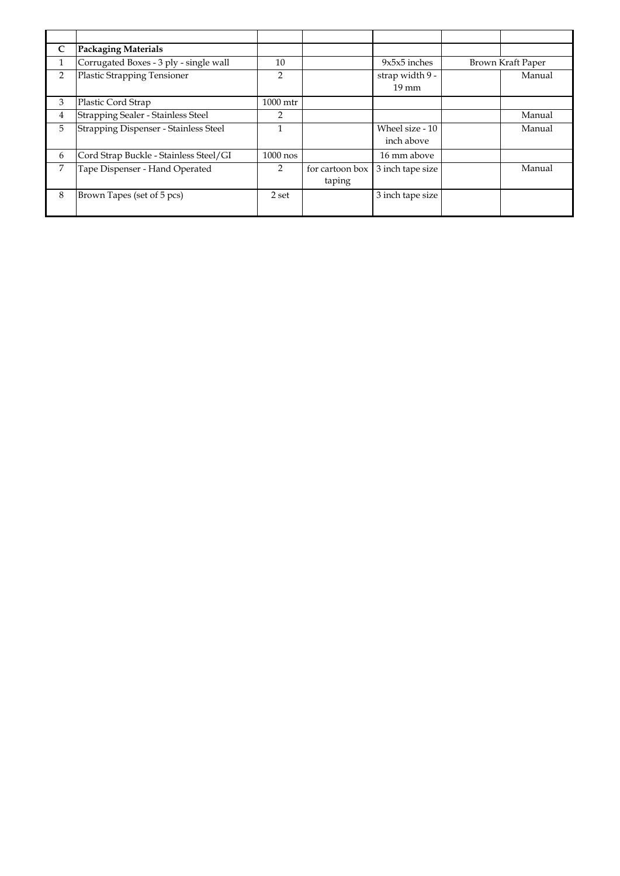| C              | <b>Packaging Materials</b>             |                |                 |                  |                   |
|----------------|----------------------------------------|----------------|-----------------|------------------|-------------------|
| 1              | Corrugated Boxes - 3 ply - single wall | 10             |                 | $9x5x5$ inches   | Brown Kraft Paper |
| $\overline{2}$ | <b>Plastic Strapping Tensioner</b>     | $\overline{2}$ |                 | strap width 9 -  | Manual            |
|                |                                        |                |                 | $19 \text{ mm}$  |                   |
| 3              | Plastic Cord Strap                     | 1000 mtr       |                 |                  |                   |
| 4              | Strapping Sealer - Stainless Steel     | $\overline{2}$ |                 |                  | Manual            |
| 5              | Strapping Dispenser - Stainless Steel  |                |                 | Wheel size - 10  | Manual            |
|                |                                        |                |                 | inch above       |                   |
| 6              | Cord Strap Buckle - Stainless Steel/GI | $1000$ nos     |                 | 16 mm above      |                   |
| 7              | Tape Dispenser - Hand Operated         |                | for cartoon box | 3 inch tape size | Manual            |
|                |                                        |                | taping          |                  |                   |
| 8              | Brown Tapes (set of 5 pcs)             | 2 set          |                 | 3 inch tape size |                   |
|                |                                        |                |                 |                  |                   |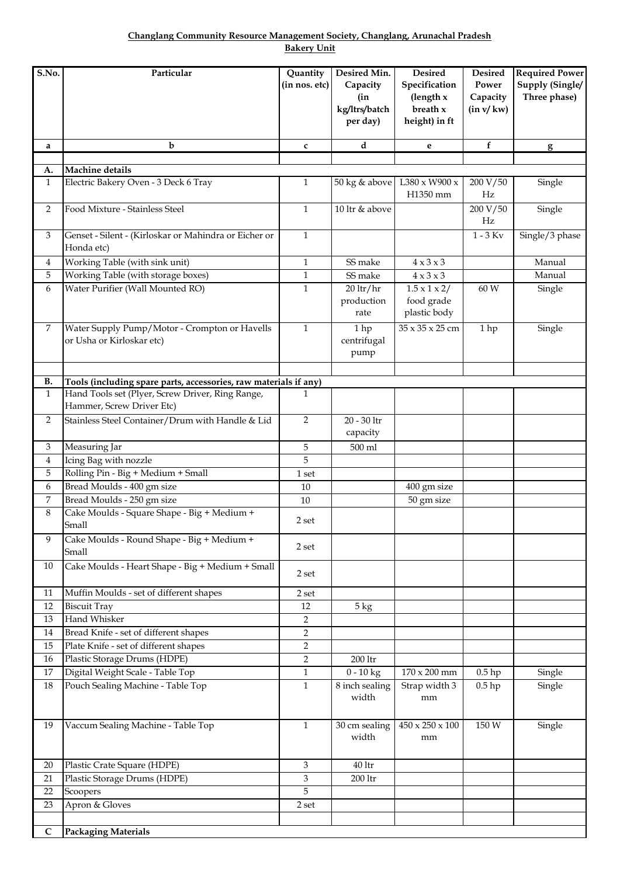**Changlang Community Resource Management Society, Changlang, Arunachal Pradesh Bakery Unit**

| S.No.        | Particular                                                                    | Quantity<br>(in nos. etc) | Desired Min.<br>Capacity<br>(in<br>kg/ltrs/batch<br>per day) | Desired<br>Specification<br>(length $x$<br>breath $x$<br>height) in ft | <b>Desired</b><br>Power<br>Capacity<br>(in v/kw) | <b>Required Power</b><br>Supply (Single/<br>Three phase) |
|--------------|-------------------------------------------------------------------------------|---------------------------|--------------------------------------------------------------|------------------------------------------------------------------------|--------------------------------------------------|----------------------------------------------------------|
| a            | b                                                                             | $\mathbf c$               | d                                                            | e                                                                      | f                                                | $\mathbf{g}$                                             |
|              |                                                                               |                           |                                                              |                                                                        |                                                  |                                                          |
| А.           | Machine details                                                               |                           |                                                              |                                                                        |                                                  |                                                          |
| $\mathbf{1}$ | Electric Bakery Oven - 3 Deck 6 Tray                                          | $\mathbf{1}$              | 50 kg & above                                                | $L380 \times W900 \times$<br>H1350 mm                                  | 200 V/50<br>Hz                                   | Single                                                   |
| 2            | Food Mixture - Stainless Steel                                                | $\mathbf{1}$              | 10 ltr & above                                               |                                                                        | 200 V/50<br>Hz                                   | Single                                                   |
| 3            | Genset - Silent - (Kirloskar or Mahindra or Eicher or<br>Honda etc)           | $\mathbf{1}$              |                                                              |                                                                        | $1 - 3$ Kv                                       | Single/3 phase                                           |
| 4            | Working Table (with sink unit)                                                | $\mathbf{1}$              | SS make                                                      | $4 \times 3 \times 3$                                                  |                                                  | Manual                                                   |
| 5            | Working Table (with storage boxes)                                            | $\mathbf{1}$              | SS make                                                      | $4 \times 3 \times 3$                                                  |                                                  | Manual                                                   |
| 6            | Water Purifier (Wall Mounted RO)                                              | $\mathbf{1}$              | $20$ ltr/hr<br>production<br>rate                            | $1.5 \times 1 \times 2/$<br>food grade<br>plastic body                 | 60 W                                             | Single                                                   |
| 7            | Water Supply Pump/Motor - Crompton or Havells<br>or Usha or Kirloskar etc)    | $\mathbf{1}$              | 1 hp<br>centrifugal<br>pump                                  | 35 x 35 x 25 cm                                                        | 1 hp                                             | Single                                                   |
|              |                                                                               |                           |                                                              |                                                                        |                                                  |                                                          |
| В.           | Tools (including spare parts, accessories, raw materials if any)              |                           |                                                              |                                                                        |                                                  |                                                          |
| $\mathbf{1}$ | Hand Tools set (Plyer, Screw Driver, Ring Range,<br>Hammer, Screw Driver Etc) | 1                         |                                                              |                                                                        |                                                  |                                                          |
| 2            | Stainless Steel Container/Drum with Handle & Lid                              | $\overline{2}$            | 20 - 30 ltr<br>capacity                                      |                                                                        |                                                  |                                                          |
| 3            | Measuring Jar                                                                 | 5                         | 500 ml                                                       |                                                                        |                                                  |                                                          |
| 4            | Icing Bag with nozzle                                                         | 5                         |                                                              |                                                                        |                                                  |                                                          |
| 5            | Rolling Pin - Big + Medium + Small                                            | 1 set                     |                                                              |                                                                        |                                                  |                                                          |
| 6            | Bread Moulds - 400 gm size                                                    | 10                        |                                                              | 400 gm size                                                            |                                                  |                                                          |
| 7            | Bread Moulds - 250 gm size                                                    | 10                        |                                                              | 50 gm size                                                             |                                                  |                                                          |
| 8            | Cake Moulds - Square Shape - Big + Medium +<br>Small                          | 2 set                     |                                                              |                                                                        |                                                  |                                                          |
| 9            | Cake Moulds - Round Shape - Big + Medium +<br>Small                           | 2 set                     |                                                              |                                                                        |                                                  |                                                          |
| 10           | Cake Moulds - Heart Shape - Big + Medium + Small                              | 2 set                     |                                                              |                                                                        |                                                  |                                                          |
| 11           | Muffin Moulds - set of different shapes                                       | 2 set                     |                                                              |                                                                        |                                                  |                                                          |
| 12           | <b>Biscuit Tray</b>                                                           | 12                        | $5 \text{ kg}$                                               |                                                                        |                                                  |                                                          |
| 13           | Hand Whisker                                                                  | 2                         |                                                              |                                                                        |                                                  |                                                          |
| 14           | Bread Knife - set of different shapes                                         | $\overline{2}$            |                                                              |                                                                        |                                                  |                                                          |
| 15           | Plate Knife - set of different shapes                                         | $\overline{2}$            |                                                              |                                                                        |                                                  |                                                          |
| 16           | Plastic Storage Drums (HDPE)                                                  | $\overline{2}$            | $200\,\mathrm{ltr}$                                          |                                                                        |                                                  |                                                          |
| $17\,$       | Digital Weight Scale - Table Top<br>Pouch Sealing Machine - Table Top         | $\mathbf{1}$              | $0 - 10$ kg                                                  | $170 \times 200$ mm                                                    | $0.5$ hp                                         | Single                                                   |
| 18           |                                                                               | $\mathbf{1}$              | 8 inch sealing<br>width                                      | Strap width 3<br>mm                                                    | $0.5$ hp                                         | Single                                                   |
| 19           | Vaccum Sealing Machine - Table Top                                            | 1                         | 30 cm sealing<br>width                                       | $450 \times 250 \times 100$<br>mm                                      | 150 W                                            | Single                                                   |
| 20           | Plastic Crate Square (HDPE)                                                   | 3                         | 40 <sup>1</sup>                                              |                                                                        |                                                  |                                                          |
| 21           | Plastic Storage Drums (HDPE)                                                  | 3                         | 200 ltr                                                      |                                                                        |                                                  |                                                          |
| 22           | Scoopers                                                                      | 5                         |                                                              |                                                                        |                                                  |                                                          |
| 23           | Apron & Gloves                                                                | 2 set                     |                                                              |                                                                        |                                                  |                                                          |
|              |                                                                               |                           |                                                              |                                                                        |                                                  |                                                          |
| $\mathsf{C}$ | <b>Packaging Materials</b>                                                    |                           |                                                              |                                                                        |                                                  |                                                          |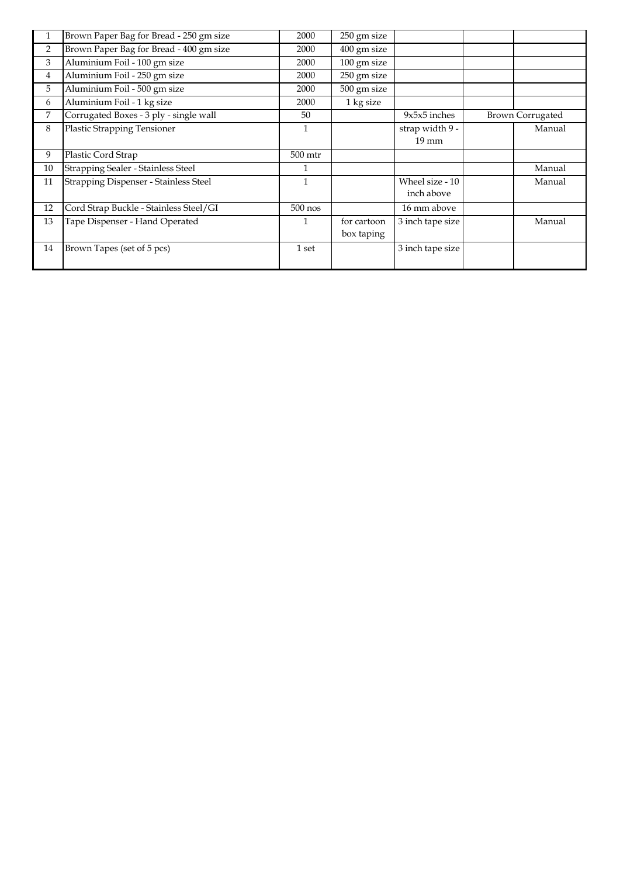| 1              | Brown Paper Bag for Bread - 250 gm size | 2000      | 250 gm size |                  |                         |
|----------------|-----------------------------------------|-----------|-------------|------------------|-------------------------|
| $\overline{2}$ | Brown Paper Bag for Bread - 400 gm size | 2000      | 400 gm size |                  |                         |
| 3              | Aluminium Foil - 100 gm size            | 2000      | 100 gm size |                  |                         |
| $\overline{4}$ | Aluminium Foil - 250 gm size            | 2000      | 250 gm size |                  |                         |
| 5              | Aluminium Foil - 500 gm size            | 2000      | 500 gm size |                  |                         |
| 6              | Aluminium Foil - 1 kg size              | 2000      | 1 kg size   |                  |                         |
| 7              | Corrugated Boxes - 3 ply - single wall  | 50        |             | $9x5x5$ inches   | <b>Brown Corrugated</b> |
| 8              | Plastic Strapping Tensioner             |           |             | strap width 9 -  | Manual                  |
|                |                                         |           |             | $19 \text{ mm}$  |                         |
| 9              | Plastic Cord Strap                      | $500$ mtr |             |                  |                         |
| 10             | Strapping Sealer - Stainless Steel      |           |             |                  | Manual                  |
| 11             | Strapping Dispenser - Stainless Steel   | 1         |             | Wheel size - 10  | Manual                  |
|                |                                         |           |             | inch above       |                         |
| 12             | Cord Strap Buckle - Stainless Steel/GI  | $500$ nos |             | 16 mm above      |                         |
| 13             | Tape Dispenser - Hand Operated          | 1         | for cartoon | 3 inch tape size | Manual                  |
|                |                                         |           | box taping  |                  |                         |
| 14             | Brown Tapes (set of 5 pcs)              | 1 set     |             | 3 inch tape size |                         |
|                |                                         |           |             |                  |                         |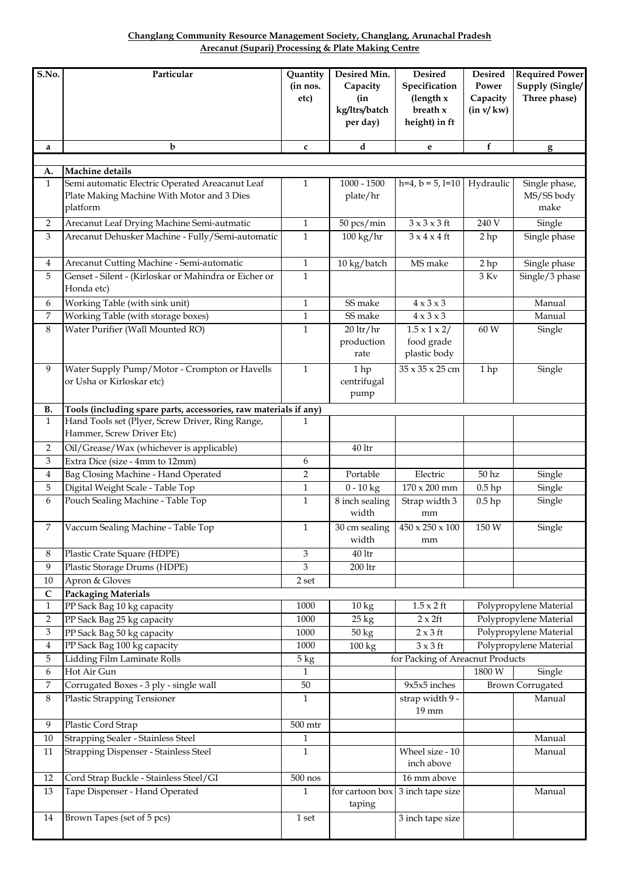**Arecanut (Supari) Processing & Plate Making Centre Changlang Community Resource Management Society, Changlang, Arunachal Pradesh**

| S.No.             | Particular                                                                                                | Quantity<br>(in nos.<br>etc) | Desired Min.<br>Capacity<br>(in<br>kg/ltrs/batch<br>per day) | <b>Desired</b><br>Specification<br>(length x<br>breath x<br>height) in ft | <b>Desired</b><br>Power<br>Capacity<br>(in v/kw) | <b>Required Power</b><br>Supply (Single/<br>Three phase) |
|-------------------|-----------------------------------------------------------------------------------------------------------|------------------------------|--------------------------------------------------------------|---------------------------------------------------------------------------|--------------------------------------------------|----------------------------------------------------------|
| a                 | $\mathbf b$                                                                                               | $\mathbf{c}$                 | d                                                            | e                                                                         | f                                                | g                                                        |
|                   |                                                                                                           |                              |                                                              |                                                                           |                                                  |                                                          |
| A.                | Machine details                                                                                           |                              |                                                              |                                                                           |                                                  |                                                          |
| $\mathbf{1}$      | Semi automatic Electric Operated Areacanut Leaf<br>Plate Making Machine With Motor and 3 Dies<br>platform | 1                            | $1000 - 1500$<br>plate/hr                                    | $h=4, b=5, l=10$                                                          | Hydraulic                                        | Single phase,<br>MS/SS body<br>make                      |
| 2                 | Arecanut Leaf Drying Machine Semi-autmatic                                                                | $\mathbf{1}$                 | 50 pcs/min                                                   | $3 \times 3 \times 3$ ft                                                  | 240 V                                            | Single                                                   |
| 3                 | Arecanut Dehusker Machine - Fully/Semi-automatic                                                          | $\mathbf{1}$                 | $100 \text{ kg/hr}$                                          | $3 \times 4 \times 4$ ft                                                  | 2 <sub>hp</sub>                                  | Single phase                                             |
| 4                 | Arecanut Cutting Machine - Semi-automatic                                                                 | $\mathbf{1}$                 | 10 kg/batch                                                  | MS make                                                                   | 2 <sub>hp</sub>                                  | Single phase                                             |
| 5                 | Genset - Silent - (Kirloskar or Mahindra or Eicher or<br>Honda etc)                                       | $\mathbf{1}$                 |                                                              |                                                                           | $3\ \mathrm{Kv}$                                 | Single/3 phase                                           |
| 6                 | Working Table (with sink unit)                                                                            | $\mathbf{1}$                 | SS make                                                      | $4 \times 3 \times 3$                                                     |                                                  | Manual                                                   |
| 7                 | Working Table (with storage boxes)                                                                        | $\mathbf{1}$                 | SS make                                                      | $4 \times 3 \times 3$                                                     |                                                  | Manual                                                   |
| 8                 | Water Purifier (Wall Mounted RO)                                                                          | $\mathbf{1}$                 | $20$ ltr/hr<br>production<br>rate                            | $1.5 \times 1 \times 2/$<br>food grade<br>plastic body                    | 60 W                                             | Single                                                   |
| 9                 | Water Supply Pump/Motor - Crompton or Havells<br>or Usha or Kirloskar etc)                                | $\mathbf{1}$                 | 1hp<br>centrifugal<br>pump                                   | 35 x 35 x 25 cm                                                           | 1hp                                              | Single                                                   |
| В.                | Tools (including spare parts, accessories, raw materials if any)                                          |                              |                                                              |                                                                           |                                                  |                                                          |
| $\mathbf{1}$      | Hand Tools set (Plyer, Screw Driver, Ring Range,<br>Hammer, Screw Driver Etc)                             | 1                            |                                                              |                                                                           |                                                  |                                                          |
| 2                 | Oil/Grease/Wax (whichever is applicable)                                                                  |                              | $40$ ltr                                                     |                                                                           |                                                  |                                                          |
| 3                 | Extra Dice (size - 4mm to 12mm)                                                                           | 6                            |                                                              |                                                                           |                                                  |                                                          |
| 4                 | Bag Closing Machine - Hand Operated                                                                       | $\overline{2}$               | Portable                                                     | Electric                                                                  | 50 <sub>hz</sub>                                 | Single                                                   |
| 5                 | Digital Weight Scale - Table Top                                                                          | $\mathbf{1}$                 | $0 - 10$ kg                                                  | $170 \times 200$ mm                                                       | $0.5$ hp                                         | Single                                                   |
| 6                 | Pouch Sealing Machine - Table Top                                                                         | $\mathbf{1}$                 | 8 inch sealing<br>width                                      | Strap width 3<br>mm                                                       | $0.5$ hp                                         | Single                                                   |
| 7                 | Vaccum Sealing Machine - Table Top                                                                        | 1                            | 30 cm sealing<br>width                                       | $450 \times 250 \times 100$<br>mm                                         | 150 W                                            | Single                                                   |
| 8                 | Plastic Crate Square (HDPE)                                                                               | 3                            | $40\,\mathrm{ltr}$                                           |                                                                           |                                                  |                                                          |
| 9                 | Plastic Storage Drums (HDPE)                                                                              | 3                            | $200\,\mathrm{ltr}$                                          |                                                                           |                                                  |                                                          |
| 10                | Apron & Gloves                                                                                            | 2 set                        |                                                              |                                                                           |                                                  |                                                          |
| C<br>$\mathbf{1}$ | <b>Packaging Materials</b><br>PP Sack Bag 10 kg capacity                                                  | 1000                         | $\overline{10}$ kg                                           | $1.5 \times 2$ ft                                                         |                                                  | Polypropylene Material                                   |
| $\overline{2}$    | PP Sack Bag 25 kg capacity                                                                                | 1000                         | $25 \text{ kg}$                                              | $2 \times 2$ ft                                                           |                                                  | Polypropylene Material                                   |
| 3                 | PP Sack Bag 50 kg capacity                                                                                | 1000                         | 50 kg                                                        | $2 \times 3$ ft                                                           |                                                  | Polypropylene Material                                   |
| $\overline{4}$    | PP Sack Bag 100 kg capacity                                                                               | 1000                         | 100 kg                                                       | $3 \times 3$ ft                                                           |                                                  | Polypropylene Material                                   |
| 5                 | Lidding Film Laminate Rolls                                                                               | 5 kg                         |                                                              | for Packing of Areacnut Products                                          |                                                  |                                                          |
| 6                 | Hot Air Gun                                                                                               | $\mathbf{1}$                 |                                                              |                                                                           | 1800 W                                           | Single                                                   |
| 7                 | Corrugated Boxes - 3 ply - single wall                                                                    | $50\,$                       |                                                              | 9x5x5 inches                                                              |                                                  | <b>Brown Corrugated</b>                                  |
| 8                 | <b>Plastic Strapping Tensioner</b>                                                                        | $\mathbf{1}$                 |                                                              | strap width 9 -<br>19 mm                                                  |                                                  | Manual                                                   |
| 9                 | Plastic Cord Strap                                                                                        | 500 mtr                      |                                                              |                                                                           |                                                  |                                                          |
| $10\,$            | Strapping Sealer - Stainless Steel                                                                        | $\mathbf{1}$                 |                                                              |                                                                           |                                                  | Manual                                                   |
| 11                | Strapping Dispenser - Stainless Steel                                                                     | $\mathbf{1}$                 |                                                              | Wheel size - 10<br>inch above                                             |                                                  | Manual                                                   |
| 12                | Cord Strap Buckle - Stainless Steel/GI                                                                    | $500$ nos                    |                                                              | 16 mm above                                                               |                                                  |                                                          |
| 13                | Tape Dispenser - Hand Operated                                                                            | $\mathbf{1}$                 | taping                                                       | for cartoon box $\vert 3 \text{ inch tape size} \vert$                    |                                                  | Manual                                                   |
| 14                | Brown Tapes (set of 5 pcs)                                                                                | 1 set                        |                                                              | 3 inch tape size                                                          |                                                  |                                                          |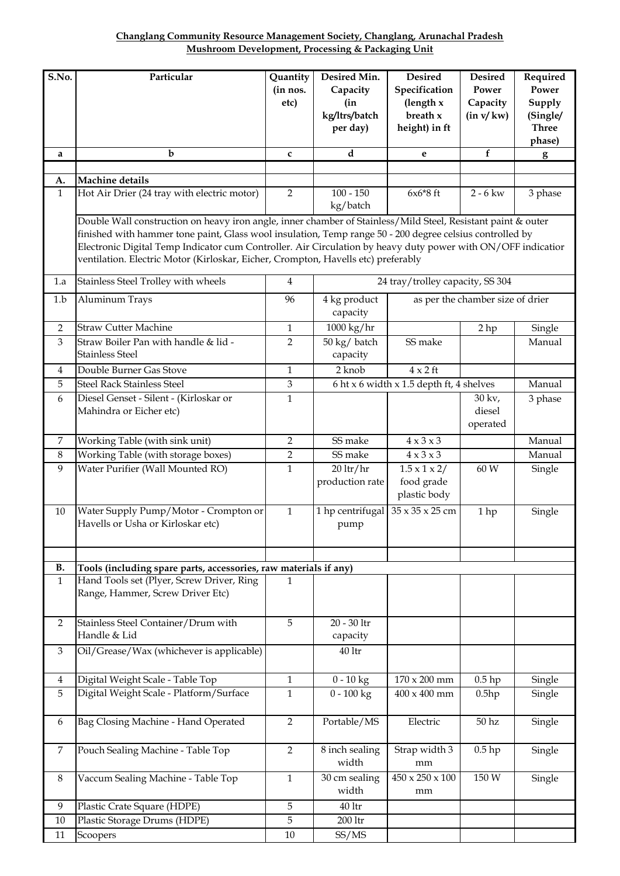**Changlang Community Resource Management Society, Changlang, Arunachal Pradesh Mushroom Development, Processing & Packaging Unit**

| S.No.              | Particular                                                                                                                                                                                                                                                                                                                                                                                                                    | Quantity<br>(in nos.<br>etc) | Desired Min.<br>Capacity<br>(in<br>kg/ltrs/batch<br>per day) | Desired<br>Specification<br>(length x<br>breath x<br>height) in ft | <b>Desired</b><br>Power<br>Capacity<br>(in v/kw) | Required<br>Power<br>Supply<br>(Single/<br><b>Three</b><br>phase) |
|--------------------|-------------------------------------------------------------------------------------------------------------------------------------------------------------------------------------------------------------------------------------------------------------------------------------------------------------------------------------------------------------------------------------------------------------------------------|------------------------------|--------------------------------------------------------------|--------------------------------------------------------------------|--------------------------------------------------|-------------------------------------------------------------------|
| a                  | $\mathbf b$                                                                                                                                                                                                                                                                                                                                                                                                                   | C                            | d                                                            | e                                                                  | f                                                | $\mathbf{g}$                                                      |
|                    |                                                                                                                                                                                                                                                                                                                                                                                                                               |                              |                                                              |                                                                    |                                                  |                                                                   |
| A.<br>$\mathbf{1}$ | Machine details<br>Hot Air Drier (24 tray with electric motor)                                                                                                                                                                                                                                                                                                                                                                | $\overline{2}$               | $100 - 150$                                                  | $6x6*8$ ft                                                         | $2 - 6$ kw                                       |                                                                   |
|                    |                                                                                                                                                                                                                                                                                                                                                                                                                               |                              | kg/batch                                                     |                                                                    |                                                  | 3 phase                                                           |
|                    | Double Wall construction on heavy iron angle, inner chamber of Stainless/Mild Steel, Resistant paint & outer<br>finished with hammer tone paint, Glass wool insulation, Temp range 50 - 200 degree celsius controlled by<br>Electronic Digital Temp Indicator cum Controller. Air Circulation by heavy duty power with ON/OFF indicatior<br>ventilation. Electric Motor (Kirloskar, Eicher, Crompton, Havells etc) preferably |                              |                                                              |                                                                    |                                                  |                                                                   |
| 1.a                | Stainless Steel Trolley with wheels                                                                                                                                                                                                                                                                                                                                                                                           | $\overline{4}$               |                                                              | 24 tray/trolley capacity, SS 304                                   |                                                  |                                                                   |
| 1.b                | Aluminum Trays                                                                                                                                                                                                                                                                                                                                                                                                                | 96                           | 4 kg product<br>capacity                                     |                                                                    | as per the chamber size of drier                 |                                                                   |
| $\overline{2}$     | <b>Straw Cutter Machine</b>                                                                                                                                                                                                                                                                                                                                                                                                   | $\mathbf{1}$                 | 1000 kg/hr                                                   |                                                                    | 2 <sub>hp</sub>                                  | Single                                                            |
| 3                  | Straw Boiler Pan with handle & lid -<br><b>Stainless Steel</b>                                                                                                                                                                                                                                                                                                                                                                | $\overline{2}$               | 50 kg/ batch<br>capacity                                     | SS make                                                            |                                                  | Manual                                                            |
| 4                  | Double Burner Gas Stove                                                                                                                                                                                                                                                                                                                                                                                                       | $\mathbf{1}$                 | 2 knob                                                       | $4 \times 2$ ft                                                    |                                                  |                                                                   |
| 5                  | <b>Steel Rack Stainless Steel</b>                                                                                                                                                                                                                                                                                                                                                                                             | 3                            |                                                              | 6 ht x 6 width x 1.5 depth ft, 4 shelves                           |                                                  | Manual                                                            |
| 6                  | Diesel Genset - Silent - (Kirloskar or<br>Mahindra or Eicher etc)                                                                                                                                                                                                                                                                                                                                                             | 1                            |                                                              |                                                                    | 30 kv,<br>diesel<br>operated                     | 3 phase                                                           |
| $\overline{7}$     | Working Table (with sink unit)                                                                                                                                                                                                                                                                                                                                                                                                | 2                            | SS make                                                      | $4 \times 3 \times 3$                                              |                                                  | Manual                                                            |
| $\,8\,$            | Working Table (with storage boxes)                                                                                                                                                                                                                                                                                                                                                                                            | $\overline{2}$               | SS make                                                      | $\overline{4} \times 3 \times 3$                                   |                                                  | Manual                                                            |
| 9                  | Water Purifier (Wall Mounted RO)                                                                                                                                                                                                                                                                                                                                                                                              | 1                            | $20$ ltr/hr<br>production rate                               | $1.5 \times 1 \times 2/$<br>food grade<br>plastic body             | 60 W                                             | Single                                                            |
| 10                 | Water Supply Pump/Motor - Crompton or<br>Havells or Usha or Kirloskar etc)                                                                                                                                                                                                                                                                                                                                                    | $\mathbf{1}$                 | 1 hp centrifugal<br>pump                                     | 35 x 35 x 25 cm                                                    | 1 hp                                             | Single                                                            |
| <b>B.</b>          | Tools (including spare parts, accessories, raw materials if any)                                                                                                                                                                                                                                                                                                                                                              |                              |                                                              |                                                                    |                                                  |                                                                   |
| $\mathbf{1}$       | Hand Tools set (Plyer, Screw Driver, Ring<br>Range, Hammer, Screw Driver Etc)                                                                                                                                                                                                                                                                                                                                                 | 1                            |                                                              |                                                                    |                                                  |                                                                   |
| $\overline{2}$     | Stainless Steel Container/Drum with<br>Handle & Lid                                                                                                                                                                                                                                                                                                                                                                           | $\sqrt{5}$                   | 20 - 30 ltr<br>capacity                                      |                                                                    |                                                  |                                                                   |
| 3                  | Oil/Grease/Wax (whichever is applicable)                                                                                                                                                                                                                                                                                                                                                                                      |                              | 40 ltr                                                       |                                                                    |                                                  |                                                                   |
| 4                  | Digital Weight Scale - Table Top                                                                                                                                                                                                                                                                                                                                                                                              | 1                            | $0 - 10$ kg                                                  | 170 x 200 mm                                                       | $0.5$ hp                                         | Single                                                            |
| 5                  | Digital Weight Scale - Platform/Surface                                                                                                                                                                                                                                                                                                                                                                                       | 1                            | $0 - 100$ kg                                                 | 400 x 400 mm                                                       | 0.5hp                                            | Single                                                            |
| 6                  | Bag Closing Machine - Hand Operated                                                                                                                                                                                                                                                                                                                                                                                           | $\overline{2}$               | Portable/MS                                                  | Electric                                                           | 50 <sub>hz</sub>                                 | Single                                                            |
| 7                  | Pouch Sealing Machine - Table Top                                                                                                                                                                                                                                                                                                                                                                                             | $\overline{2}$               | 8 inch sealing<br>width                                      | Strap width 3<br>mm                                                | $0.5$ hp                                         | Single                                                            |
| 8                  | Vaccum Sealing Machine - Table Top                                                                                                                                                                                                                                                                                                                                                                                            | $\mathbf{1}$                 | 30 cm sealing<br>width                                       | $450 \times 250 \times 100$<br>mm                                  | 150 W                                            | Single                                                            |
| 9                  | Plastic Crate Square (HDPE)                                                                                                                                                                                                                                                                                                                                                                                                   | 5                            | $40$ ltr                                                     |                                                                    |                                                  |                                                                   |
| 10                 | Plastic Storage Drums (HDPE)                                                                                                                                                                                                                                                                                                                                                                                                  | 5                            | 200 ltr                                                      |                                                                    |                                                  |                                                                   |
| 11                 | Scoopers                                                                                                                                                                                                                                                                                                                                                                                                                      | $10\,$                       | SS/MS                                                        |                                                                    |                                                  |                                                                   |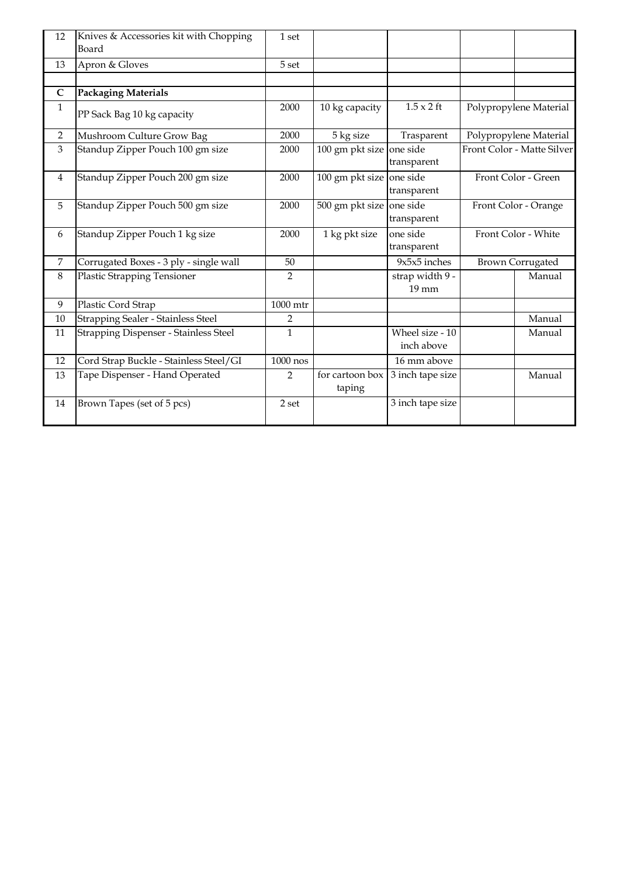| 12             | Knives & Accessories kit with Chopping<br>Board | 1 set          |                           |                               |                      |                            |
|----------------|-------------------------------------------------|----------------|---------------------------|-------------------------------|----------------------|----------------------------|
| 13             | Apron & Gloves                                  | 5 set          |                           |                               |                      |                            |
|                |                                                 |                |                           |                               |                      |                            |
| $\mathsf{C}$   | <b>Packaging Materials</b>                      |                |                           |                               |                      |                            |
| $\mathbf{1}$   | PP Sack Bag 10 kg capacity                      | 2000           | 10 kg capacity            | $1.5 \times 2$ ft             |                      | Polypropylene Material     |
| 2              | Mushroom Culture Grow Bag                       | 2000           | 5 kg size                 | Trasparent                    |                      | Polypropylene Material     |
| 3              | Standup Zipper Pouch 100 gm size                | 2000           | 100 gm pkt size one side  | transparent                   |                      | Front Color - Matte Silver |
| $\overline{4}$ | Standup Zipper Pouch 200 gm size                | 2000           | 100 gm pkt size           | one side<br>transparent       |                      | Front Color - Green        |
| 5              | Standup Zipper Pouch 500 gm size                | 2000           | 500 gm pkt size           | one side<br>transparent       | Front Color - Orange |                            |
| 6              | Standup Zipper Pouch 1 kg size                  | 2000           | 1 kg pkt size             | one side<br>transparent       |                      | Front Color - White        |
| $\overline{7}$ | Corrugated Boxes - 3 ply - single wall          | 50             |                           | $9x5x5$ inches                |                      | <b>Brown Corrugated</b>    |
| 8              | Plastic Strapping Tensioner                     | 2              |                           | strap width 9 -<br>19 mm      |                      | Manual                     |
| 9              | Plastic Cord Strap                              | 1000 mtr       |                           |                               |                      |                            |
| 10             | <b>Strapping Sealer - Stainless Steel</b>       | $\overline{2}$ |                           |                               |                      | Manual                     |
| 11             | <b>Strapping Dispenser - Stainless Steel</b>    | $\mathbf 1$    |                           | Wheel size - 10<br>inch above |                      | Manual                     |
| 12             | Cord Strap Buckle - Stainless Steel/GI          | 1000 nos       |                           | 16 mm above                   |                      |                            |
| 13             | Tape Dispenser - Hand Operated                  | 2              | for cartoon box<br>taping | 3 inch tape size              |                      | Manual                     |
| 14             | Brown Tapes (set of 5 pcs)                      | 2 set          |                           | $\overline{3}$ inch tape size |                      |                            |